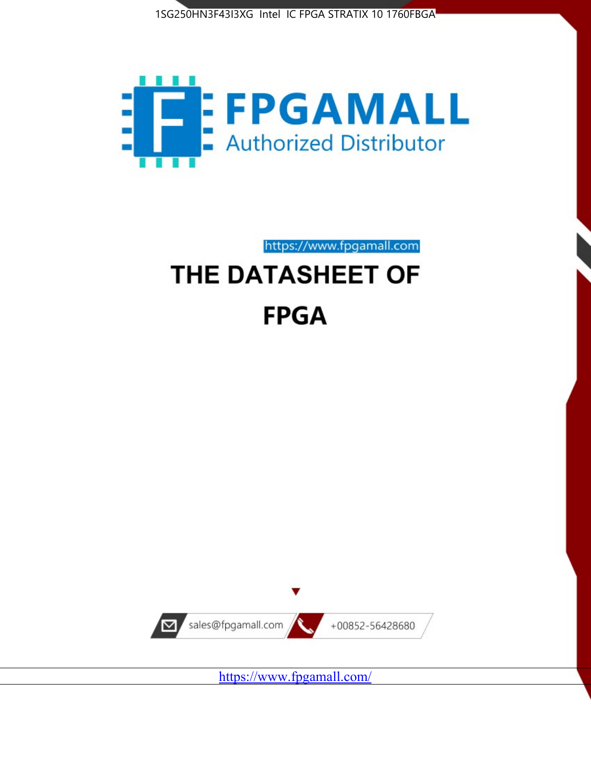



https://www.fpgamall.com

# THE DATASHEET OF **FPGA**



<https://www.fpgamall.com/>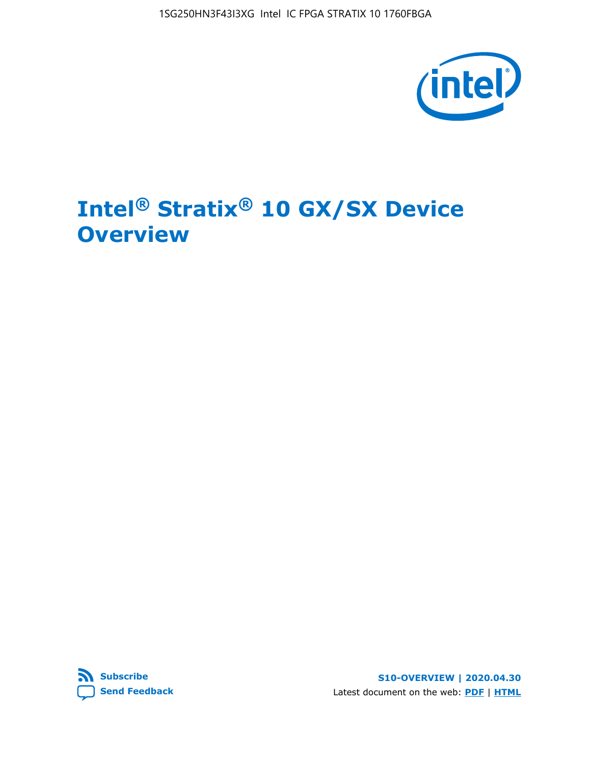1SG250HN3F43I3XG Intel IC FPGA STRATIX 10 1760FBGA



# **Intel® Stratix® 10 GX/SX Device Overview**



**S10-OVERVIEW | 2020.04.30** Latest document on the web: **[PDF](https://www.intel.com/content/dam/www/programmable/us/en/pdfs/literature/hb/stratix-10/s10-overview.pdf)** | **[HTML](https://www.intel.com/content/www/us/en/programmable/documentation/joc1442261161666.html)**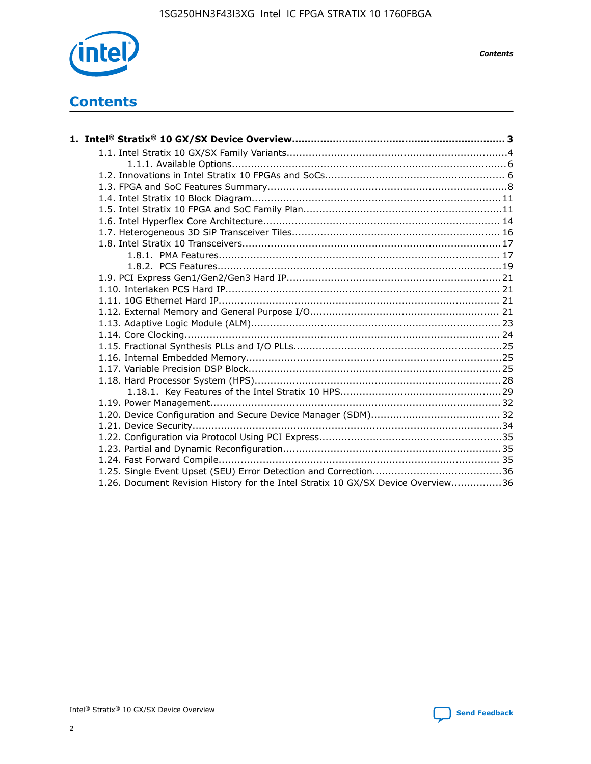

*Contents*

# **Contents**

| 1.26. Document Revision History for the Intel Stratix 10 GX/SX Device Overview36 |  |
|----------------------------------------------------------------------------------|--|

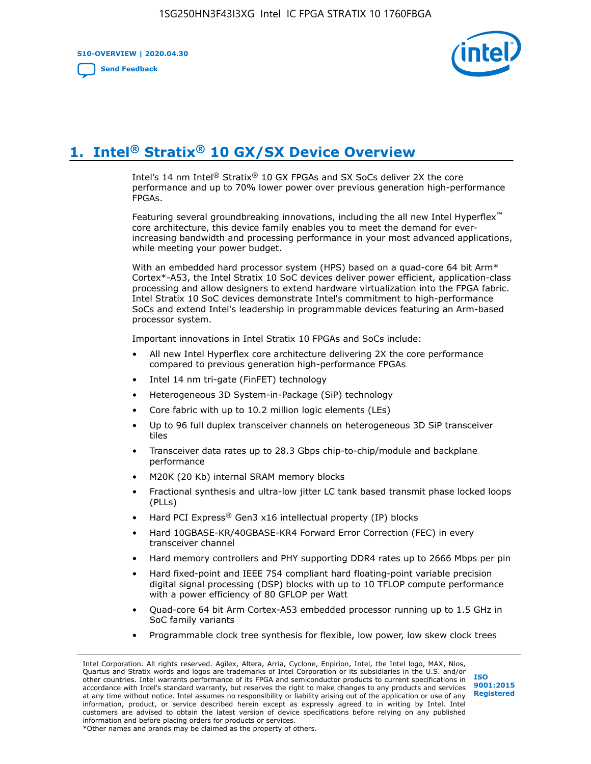**S10-OVERVIEW | 2020.04.30**

**[Send Feedback](mailto:FPGAtechdocfeedback@intel.com?subject=Feedback%20on%20Intel%20Stratix%2010%20GX/SX%20Device%20Overview%20(S10-OVERVIEW%202020.04.30)&body=We%20appreciate%20your%20feedback.%20In%20your%20comments,%20also%20specify%20the%20page%20number%20or%20paragraph.%20Thank%20you.)**



# **1. Intel® Stratix® 10 GX/SX Device Overview**

Intel's 14 nm Intel® Stratix® 10 GX FPGAs and SX SoCs deliver 2X the core performance and up to 70% lower power over previous generation high-performance FPGAs.

Featuring several groundbreaking innovations, including the all new Intel Hyperflex™ core architecture, this device family enables you to meet the demand for everincreasing bandwidth and processing performance in your most advanced applications, while meeting your power budget.

With an embedded hard processor system (HPS) based on a quad-core 64 bit Arm\* Cortex\*-A53, the Intel Stratix 10 SoC devices deliver power efficient, application-class processing and allow designers to extend hardware virtualization into the FPGA fabric. Intel Stratix 10 SoC devices demonstrate Intel's commitment to high-performance SoCs and extend Intel's leadership in programmable devices featuring an Arm-based processor system.

Important innovations in Intel Stratix 10 FPGAs and SoCs include:

- All new Intel Hyperflex core architecture delivering 2X the core performance compared to previous generation high-performance FPGAs
- Intel 14 nm tri-gate (FinFET) technology
- Heterogeneous 3D System-in-Package (SiP) technology
- Core fabric with up to 10.2 million logic elements (LEs)
- Up to 96 full duplex transceiver channels on heterogeneous 3D SiP transceiver tiles
- Transceiver data rates up to 28.3 Gbps chip-to-chip/module and backplane performance
- M20K (20 Kb) internal SRAM memory blocks
- Fractional synthesis and ultra-low jitter LC tank based transmit phase locked loops (PLLs)
- Hard PCI Express<sup>®</sup> Gen3 x16 intellectual property (IP) blocks
- Hard 10GBASE-KR/40GBASE-KR4 Forward Error Correction (FEC) in every transceiver channel
- Hard memory controllers and PHY supporting DDR4 rates up to 2666 Mbps per pin
- Hard fixed-point and IEEE 754 compliant hard floating-point variable precision digital signal processing (DSP) blocks with up to 10 TFLOP compute performance with a power efficiency of 80 GFLOP per Watt
- Quad-core 64 bit Arm Cortex-A53 embedded processor running up to 1.5 GHz in SoC family variants
- Programmable clock tree synthesis for flexible, low power, low skew clock trees

Intel Corporation. All rights reserved. Agilex, Altera, Arria, Cyclone, Enpirion, Intel, the Intel logo, MAX, Nios, Quartus and Stratix words and logos are trademarks of Intel Corporation or its subsidiaries in the U.S. and/or other countries. Intel warrants performance of its FPGA and semiconductor products to current specifications in accordance with Intel's standard warranty, but reserves the right to make changes to any products and services at any time without notice. Intel assumes no responsibility or liability arising out of the application or use of any information, product, or service described herein except as expressly agreed to in writing by Intel. Intel customers are advised to obtain the latest version of device specifications before relying on any published information and before placing orders for products or services. \*Other names and brands may be claimed as the property of others.

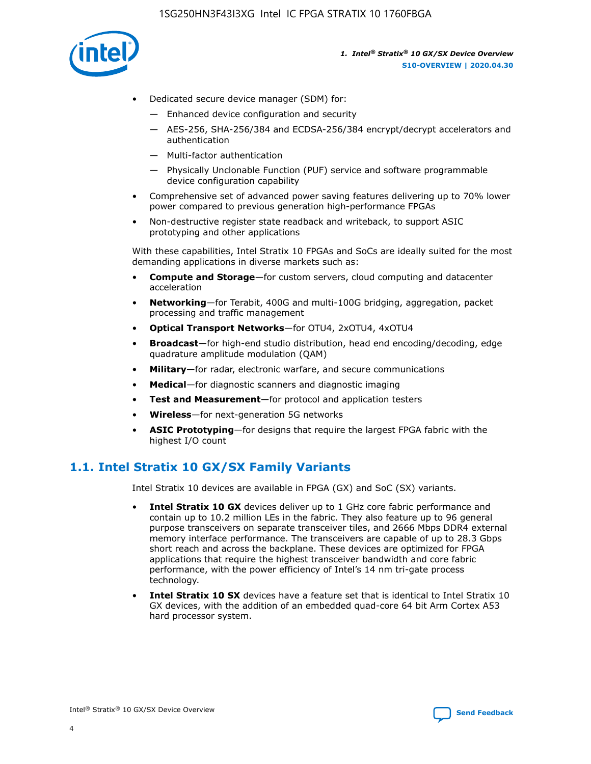

- Dedicated secure device manager (SDM) for:
	- Enhanced device configuration and security
	- AES-256, SHA-256/384 and ECDSA-256/384 encrypt/decrypt accelerators and authentication
	- Multi-factor authentication
	- Physically Unclonable Function (PUF) service and software programmable device configuration capability
- Comprehensive set of advanced power saving features delivering up to 70% lower power compared to previous generation high-performance FPGAs
- Non-destructive register state readback and writeback, to support ASIC prototyping and other applications

With these capabilities, Intel Stratix 10 FPGAs and SoCs are ideally suited for the most demanding applications in diverse markets such as:

- **Compute and Storage**—for custom servers, cloud computing and datacenter acceleration
- **Networking**—for Terabit, 400G and multi-100G bridging, aggregation, packet processing and traffic management
- **Optical Transport Networks**—for OTU4, 2xOTU4, 4xOTU4
- **Broadcast**—for high-end studio distribution, head end encoding/decoding, edge quadrature amplitude modulation (QAM)
- **Military**—for radar, electronic warfare, and secure communications
- **Medical**—for diagnostic scanners and diagnostic imaging
- **Test and Measurement**—for protocol and application testers
- **Wireless**—for next-generation 5G networks
- **ASIC Prototyping**—for designs that require the largest FPGA fabric with the highest I/O count

## **1.1. Intel Stratix 10 GX/SX Family Variants**

Intel Stratix 10 devices are available in FPGA (GX) and SoC (SX) variants.

- **Intel Stratix 10 GX** devices deliver up to 1 GHz core fabric performance and contain up to 10.2 million LEs in the fabric. They also feature up to 96 general purpose transceivers on separate transceiver tiles, and 2666 Mbps DDR4 external memory interface performance. The transceivers are capable of up to 28.3 Gbps short reach and across the backplane. These devices are optimized for FPGA applications that require the highest transceiver bandwidth and core fabric performance, with the power efficiency of Intel's 14 nm tri-gate process technology.
- **Intel Stratix 10 SX** devices have a feature set that is identical to Intel Stratix 10 GX devices, with the addition of an embedded quad-core 64 bit Arm Cortex A53 hard processor system.

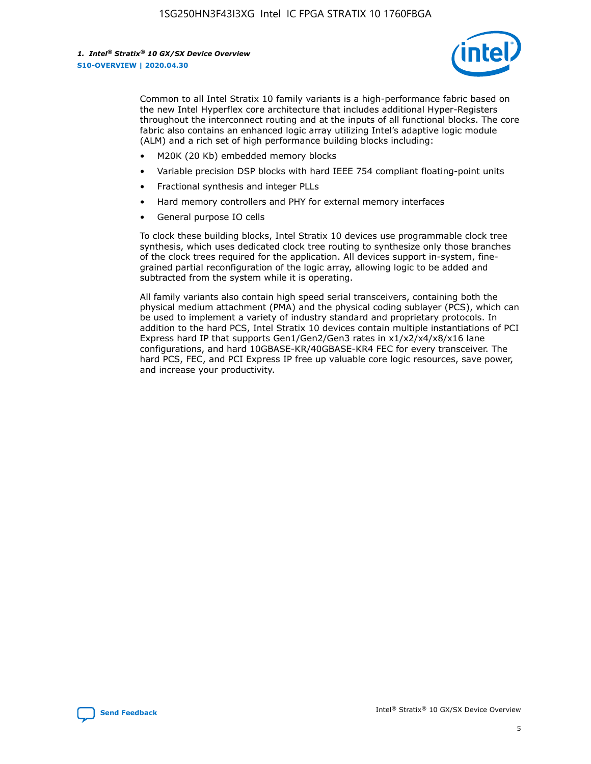

Common to all Intel Stratix 10 family variants is a high-performance fabric based on the new Intel Hyperflex core architecture that includes additional Hyper-Registers throughout the interconnect routing and at the inputs of all functional blocks. The core fabric also contains an enhanced logic array utilizing Intel's adaptive logic module (ALM) and a rich set of high performance building blocks including:

- M20K (20 Kb) embedded memory blocks
- Variable precision DSP blocks with hard IEEE 754 compliant floating-point units
- Fractional synthesis and integer PLLs
- Hard memory controllers and PHY for external memory interfaces
- General purpose IO cells

To clock these building blocks, Intel Stratix 10 devices use programmable clock tree synthesis, which uses dedicated clock tree routing to synthesize only those branches of the clock trees required for the application. All devices support in-system, finegrained partial reconfiguration of the logic array, allowing logic to be added and subtracted from the system while it is operating.

All family variants also contain high speed serial transceivers, containing both the physical medium attachment (PMA) and the physical coding sublayer (PCS), which can be used to implement a variety of industry standard and proprietary protocols. In addition to the hard PCS, Intel Stratix 10 devices contain multiple instantiations of PCI Express hard IP that supports Gen1/Gen2/Gen3 rates in x1/x2/x4/x8/x16 lane configurations, and hard 10GBASE-KR/40GBASE-KR4 FEC for every transceiver. The hard PCS, FEC, and PCI Express IP free up valuable core logic resources, save power, and increase your productivity.

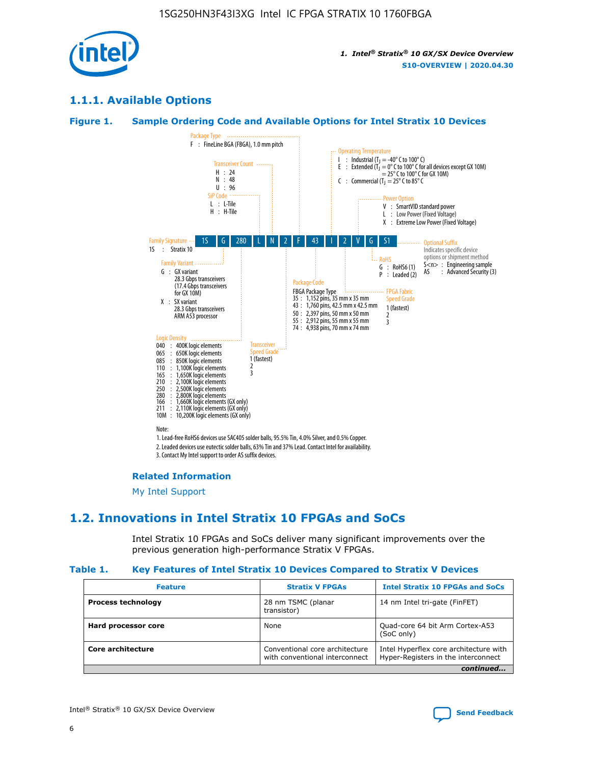

## **1.1.1. Available Options**

#### **Figure 1. Sample Ordering Code and Available Options for Intel Stratix 10 Devices**



## **Related Information**

[My Intel Support](https://www.intel.com/content/www/us/en/programmable/my-intel/mal-home.html)

## **1.2. Innovations in Intel Stratix 10 FPGAs and SoCs**

Intel Stratix 10 FPGAs and SoCs deliver many significant improvements over the previous generation high-performance Stratix V FPGAs.

#### **Table 1. Key Features of Intel Stratix 10 Devices Compared to Stratix V Devices**

| <b>Feature</b>            | <b>Stratix V FPGAs</b>                                           | <b>Intel Stratix 10 FPGAs and SoCs</b>                                        |
|---------------------------|------------------------------------------------------------------|-------------------------------------------------------------------------------|
| <b>Process technology</b> | 28 nm TSMC (planar<br>transistor)                                | 14 nm Intel tri-gate (FinFET)                                                 |
| Hard processor core       | None                                                             | Quad-core 64 bit Arm Cortex-A53<br>(SoC only)                                 |
| Core architecture         | Conventional core architecture<br>with conventional interconnect | Intel Hyperflex core architecture with<br>Hyper-Registers in the interconnect |
|                           |                                                                  | continued                                                                     |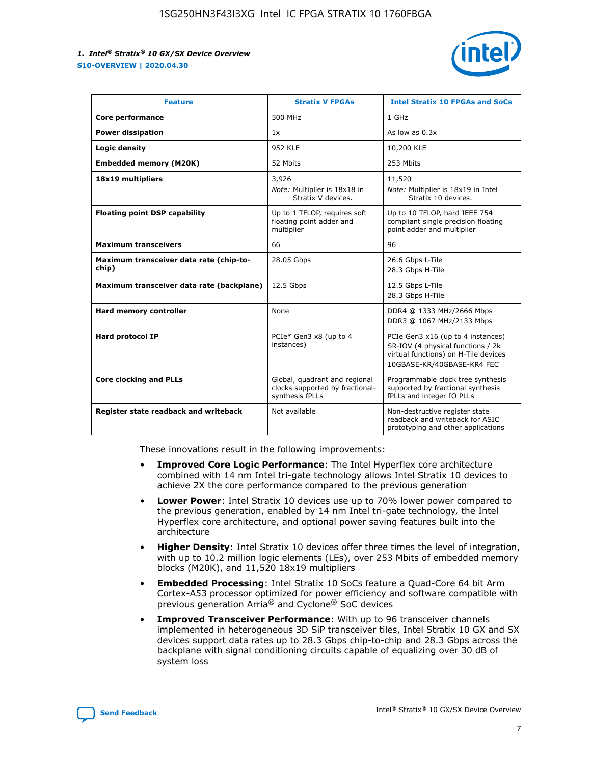

| <b>Feature</b>                                   | <b>Stratix V FPGAs</b>                                                              | <b>Intel Stratix 10 FPGAs and SoCs</b>                                                                                                       |
|--------------------------------------------------|-------------------------------------------------------------------------------------|----------------------------------------------------------------------------------------------------------------------------------------------|
| Core performance                                 | 500 MHz                                                                             | 1 GHz                                                                                                                                        |
| <b>Power dissipation</b>                         | 1x                                                                                  | As low as $0.3x$                                                                                                                             |
| Logic density                                    | <b>952 KLE</b>                                                                      | 10,200 KLE                                                                                                                                   |
| <b>Embedded memory (M20K)</b>                    | 52 Mbits                                                                            | 253 Mbits                                                                                                                                    |
| 18x19 multipliers                                | 3,926                                                                               | 11,520                                                                                                                                       |
|                                                  | Note: Multiplier is 18x18 in<br>Stratix V devices.                                  | Note: Multiplier is 18x19 in Intel<br>Stratix 10 devices.                                                                                    |
| <b>Floating point DSP capability</b>             | Up to 1 TFLOP, requires soft<br>floating point adder and<br>multiplier              | Up to 10 TFLOP, hard IEEE 754<br>compliant single precision floating<br>point adder and multiplier                                           |
| <b>Maximum transceivers</b>                      | 66                                                                                  | 96                                                                                                                                           |
| Maximum transceiver data rate (chip-to-<br>chip) | 28.05 Gbps                                                                          | 26.6 Gbps L-Tile<br>28.3 Gbps H-Tile                                                                                                         |
| Maximum transceiver data rate (backplane)        | 12.5 Gbps                                                                           | 12.5 Gbps L-Tile<br>28.3 Gbps H-Tile                                                                                                         |
| <b>Hard memory controller</b>                    | None                                                                                | DDR4 @ 1333 MHz/2666 Mbps<br>DDR3 @ 1067 MHz/2133 Mbps                                                                                       |
| <b>Hard protocol IP</b>                          | PCIe* Gen3 x8 (up to 4<br>instances)                                                | PCIe Gen3 x16 (up to 4 instances)<br>SR-IOV (4 physical functions / 2k<br>virtual functions) on H-Tile devices<br>10GBASE-KR/40GBASE-KR4 FEC |
| <b>Core clocking and PLLs</b>                    | Global, quadrant and regional<br>clocks supported by fractional-<br>synthesis fPLLs | Programmable clock tree synthesis<br>supported by fractional synthesis<br>fPLLs and integer IO PLLs                                          |
| Register state readback and writeback            | Not available                                                                       | Non-destructive register state<br>readback and writeback for ASIC<br>prototyping and other applications                                      |

These innovations result in the following improvements:

- **Improved Core Logic Performance**: The Intel Hyperflex core architecture combined with 14 nm Intel tri-gate technology allows Intel Stratix 10 devices to achieve 2X the core performance compared to the previous generation
- **Lower Power**: Intel Stratix 10 devices use up to 70% lower power compared to the previous generation, enabled by 14 nm Intel tri-gate technology, the Intel Hyperflex core architecture, and optional power saving features built into the architecture
- **Higher Density**: Intel Stratix 10 devices offer three times the level of integration, with up to 10.2 million logic elements (LEs), over 253 Mbits of embedded memory blocks (M20K), and 11,520 18x19 multipliers
- **Embedded Processing**: Intel Stratix 10 SoCs feature a Quad-Core 64 bit Arm Cortex-A53 processor optimized for power efficiency and software compatible with previous generation Arria® and Cyclone® SoC devices
- **Improved Transceiver Performance**: With up to 96 transceiver channels implemented in heterogeneous 3D SiP transceiver tiles, Intel Stratix 10 GX and SX devices support data rates up to 28.3 Gbps chip-to-chip and 28.3 Gbps across the backplane with signal conditioning circuits capable of equalizing over 30 dB of system loss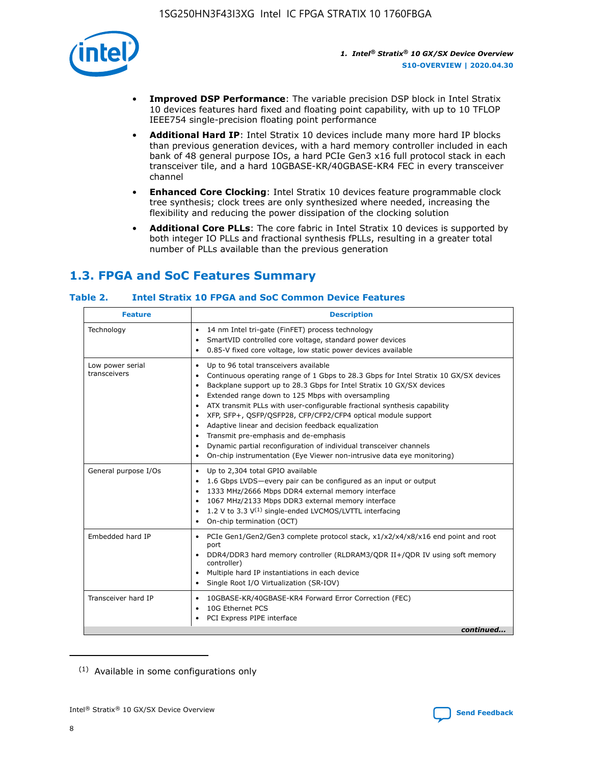

- **Improved DSP Performance**: The variable precision DSP block in Intel Stratix 10 devices features hard fixed and floating point capability, with up to 10 TFLOP IEEE754 single-precision floating point performance
- **Additional Hard IP**: Intel Stratix 10 devices include many more hard IP blocks than previous generation devices, with a hard memory controller included in each bank of 48 general purpose IOs, a hard PCIe Gen3 x16 full protocol stack in each transceiver tile, and a hard 10GBASE-KR/40GBASE-KR4 FEC in every transceiver channel
- **Enhanced Core Clocking**: Intel Stratix 10 devices feature programmable clock tree synthesis; clock trees are only synthesized where needed, increasing the flexibility and reducing the power dissipation of the clocking solution
- **Additional Core PLLs**: The core fabric in Intel Stratix 10 devices is supported by both integer IO PLLs and fractional synthesis fPLLs, resulting in a greater total number of PLLs available than the previous generation

## **1.3. FPGA and SoC Features Summary**

## **Table 2. Intel Stratix 10 FPGA and SoC Common Device Features**

| <b>Feature</b>                   | <b>Description</b>                                                                                                                                                                                                                                                                                                                                                                                                                                                                                                                                                                                                                                                                                  |
|----------------------------------|-----------------------------------------------------------------------------------------------------------------------------------------------------------------------------------------------------------------------------------------------------------------------------------------------------------------------------------------------------------------------------------------------------------------------------------------------------------------------------------------------------------------------------------------------------------------------------------------------------------------------------------------------------------------------------------------------------|
| Technology                       | 14 nm Intel tri-gate (FinFET) process technology<br>$\bullet$<br>SmartVID controlled core voltage, standard power devices<br>0.85-V fixed core voltage, low static power devices available<br>٠                                                                                                                                                                                                                                                                                                                                                                                                                                                                                                     |
| Low power serial<br>transceivers | Up to 96 total transceivers available<br>٠<br>Continuous operating range of 1 Gbps to 28.3 Gbps for Intel Stratix 10 GX/SX devices<br>Backplane support up to 28.3 Gbps for Intel Stratix 10 GX/SX devices<br>$\bullet$<br>Extended range down to 125 Mbps with oversampling<br>ATX transmit PLLs with user-configurable fractional synthesis capability<br>$\bullet$<br>XFP, SFP+, QSFP/QSFP28, CFP/CFP2/CFP4 optical module support<br>$\bullet$<br>• Adaptive linear and decision feedback equalization<br>Transmit pre-emphasis and de-emphasis<br>Dynamic partial reconfiguration of individual transceiver channels<br>On-chip instrumentation (Eye Viewer non-intrusive data eye monitoring) |
| General purpose I/Os             | Up to 2,304 total GPIO available<br>$\bullet$<br>1.6 Gbps LVDS-every pair can be configured as an input or output<br>1333 MHz/2666 Mbps DDR4 external memory interface<br>1067 MHz/2133 Mbps DDR3 external memory interface<br>• 1.2 V to 3.3 $V^{(1)}$ single-ended LVCMOS/LVTTL interfacing<br>• On-chip termination (OCT)                                                                                                                                                                                                                                                                                                                                                                        |
| Embedded hard IP                 | PCIe Gen1/Gen2/Gen3 complete protocol stack, x1/x2/x4/x8/x16 end point and root<br>$\bullet$<br>port<br>DDR4/DDR3 hard memory controller (RLDRAM3/QDR II+/QDR IV using soft memory<br>controller)<br>Multiple hard IP instantiations in each device<br>• Single Root I/O Virtualization (SR-IOV)                                                                                                                                                                                                                                                                                                                                                                                                    |
| Transceiver hard IP              | 10GBASE-KR/40GBASE-KR4 Forward Error Correction (FEC)<br>$\bullet$<br>10G Ethernet PCS<br>٠<br>PCI Express PIPE interface<br>continued                                                                                                                                                                                                                                                                                                                                                                                                                                                                                                                                                              |
|                                  |                                                                                                                                                                                                                                                                                                                                                                                                                                                                                                                                                                                                                                                                                                     |

<sup>(1)</sup> Available in some configurations only

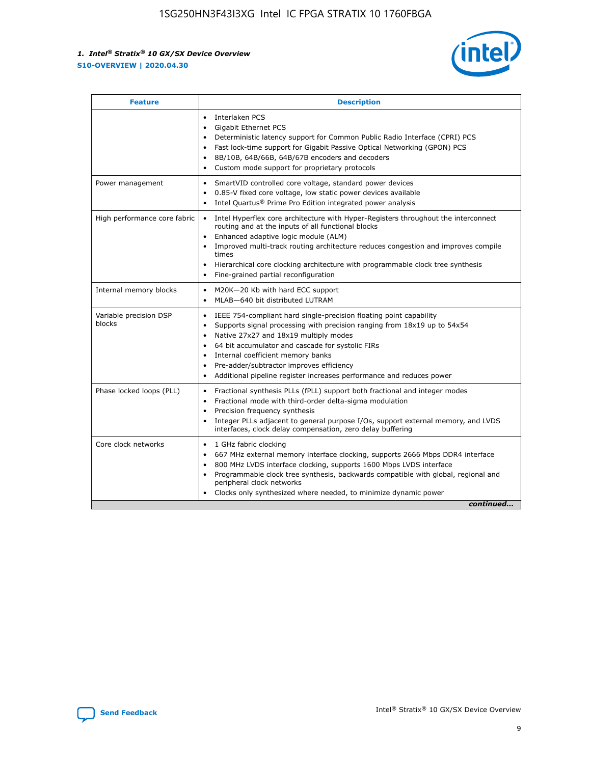

| <b>Feature</b>                   | <b>Description</b>                                                                                                                                                                                                                                                                                                                                                                                                                                                    |  |  |  |
|----------------------------------|-----------------------------------------------------------------------------------------------------------------------------------------------------------------------------------------------------------------------------------------------------------------------------------------------------------------------------------------------------------------------------------------------------------------------------------------------------------------------|--|--|--|
|                                  | Interlaken PCS<br>Gigabit Ethernet PCS<br>$\bullet$<br>Deterministic latency support for Common Public Radio Interface (CPRI) PCS<br>$\bullet$<br>Fast lock-time support for Gigabit Passive Optical Networking (GPON) PCS<br>$\bullet$<br>8B/10B, 64B/66B, 64B/67B encoders and decoders<br>$\bullet$<br>Custom mode support for proprietary protocols                                                                                                               |  |  |  |
| Power management                 | SmartVID controlled core voltage, standard power devices<br>٠<br>0.85-V fixed core voltage, low static power devices available<br>$\bullet$<br>Intel Quartus <sup>®</sup> Prime Pro Edition integrated power analysis                                                                                                                                                                                                                                                 |  |  |  |
| High performance core fabric     | Intel Hyperflex core architecture with Hyper-Registers throughout the interconnect<br>routing and at the inputs of all functional blocks<br>Enhanced adaptive logic module (ALM)<br>$\bullet$<br>Improved multi-track routing architecture reduces congestion and improves compile<br>times<br>Hierarchical core clocking architecture with programmable clock tree synthesis<br>$\bullet$<br>Fine-grained partial reconfiguration                                    |  |  |  |
| Internal memory blocks           | M20K-20 Kb with hard ECC support<br>٠<br>MLAB-640 bit distributed LUTRAM                                                                                                                                                                                                                                                                                                                                                                                              |  |  |  |
| Variable precision DSP<br>blocks | IEEE 754-compliant hard single-precision floating point capability<br>$\bullet$<br>Supports signal processing with precision ranging from 18x19 up to 54x54<br>$\bullet$<br>Native 27x27 and 18x19 multiply modes<br>$\bullet$<br>64 bit accumulator and cascade for systolic FIRs<br>Internal coefficient memory banks<br>Pre-adder/subtractor improves efficiency<br>$\bullet$<br>Additional pipeline register increases performance and reduces power<br>$\bullet$ |  |  |  |
| Phase locked loops (PLL)         | Fractional synthesis PLLs (fPLL) support both fractional and integer modes<br>$\bullet$<br>Fractional mode with third-order delta-sigma modulation<br>Precision frequency synthesis<br>٠<br>Integer PLLs adjacent to general purpose I/Os, support external memory, and LVDS<br>$\bullet$<br>interfaces, clock delay compensation, zero delay buffering                                                                                                               |  |  |  |
| Core clock networks              | 1 GHz fabric clocking<br>$\bullet$<br>667 MHz external memory interface clocking, supports 2666 Mbps DDR4 interface<br>$\bullet$<br>800 MHz LVDS interface clocking, supports 1600 Mbps LVDS interface<br>$\bullet$<br>Programmable clock tree synthesis, backwards compatible with global, regional and<br>$\bullet$<br>peripheral clock networks<br>Clocks only synthesized where needed, to minimize dynamic power<br>continued                                    |  |  |  |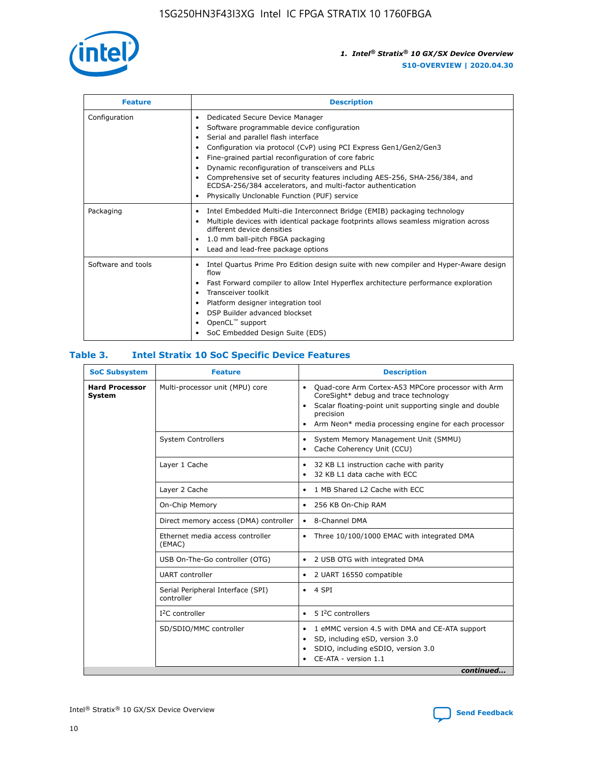

| <b>Feature</b>     | <b>Description</b>                                                                                                                                                                                                                                                                                                                                                                                                                                                                                                            |
|--------------------|-------------------------------------------------------------------------------------------------------------------------------------------------------------------------------------------------------------------------------------------------------------------------------------------------------------------------------------------------------------------------------------------------------------------------------------------------------------------------------------------------------------------------------|
| Configuration      | Dedicated Secure Device Manager<br>٠<br>Software programmable device configuration<br>٠<br>Serial and parallel flash interface<br>$\bullet$<br>Configuration via protocol (CvP) using PCI Express Gen1/Gen2/Gen3<br>Fine-grained partial reconfiguration of core fabric<br>Dynamic reconfiguration of transceivers and PLLs<br>٠<br>Comprehensive set of security features including AES-256, SHA-256/384, and<br>ECDSA-256/384 accelerators, and multi-factor authentication<br>Physically Unclonable Function (PUF) service |
| Packaging          | Intel Embedded Multi-die Interconnect Bridge (EMIB) packaging technology<br>٠<br>Multiple devices with identical package footprints allows seamless migration across<br>$\bullet$<br>different device densities<br>1.0 mm ball-pitch FBGA packaging<br>٠<br>Lead and lead-free package options                                                                                                                                                                                                                                |
| Software and tools | Intel Quartus Prime Pro Edition design suite with new compiler and Hyper-Aware design<br>flow<br>Fast Forward compiler to allow Intel Hyperflex architecture performance exploration<br>٠<br>Transceiver toolkit<br>Platform designer integration tool<br>DSP Builder advanced blockset<br>OpenCL <sup>™</sup> support<br>SoC Embedded Design Suite (EDS)                                                                                                                                                                     |

## **Table 3. Intel Stratix 10 SoC Specific Device Features**

| <b>SoC Subsystem</b>            | <b>Feature</b>                                  | <b>Description</b>                                                                                                                                                                                                                                         |
|---------------------------------|-------------------------------------------------|------------------------------------------------------------------------------------------------------------------------------------------------------------------------------------------------------------------------------------------------------------|
| <b>Hard Processor</b><br>System | Multi-processor unit (MPU) core                 | Quad-core Arm Cortex-A53 MPCore processor with Arm<br>$\bullet$<br>CoreSight* debug and trace technology<br>Scalar floating-point unit supporting single and double<br>٠<br>precision<br>Arm Neon* media processing engine for each processor<br>$\bullet$ |
|                                 | <b>System Controllers</b>                       | System Memory Management Unit (SMMU)<br>٠<br>Cache Coherency Unit (CCU)<br>٠                                                                                                                                                                               |
|                                 | Layer 1 Cache                                   | 32 KB L1 instruction cache with parity<br>$\bullet$<br>32 KB L1 data cache with ECC<br>$\bullet$                                                                                                                                                           |
|                                 | Layer 2 Cache                                   | 1 MB Shared L2 Cache with ECC<br>$\bullet$                                                                                                                                                                                                                 |
|                                 | On-Chip Memory                                  | 256 KB On-Chip RAM<br>$\bullet$                                                                                                                                                                                                                            |
|                                 | Direct memory access (DMA) controller           | • 8-Channel DMA                                                                                                                                                                                                                                            |
|                                 | Ethernet media access controller<br>(EMAC)      | Three 10/100/1000 EMAC with integrated DMA<br>$\bullet$                                                                                                                                                                                                    |
|                                 | USB On-The-Go controller (OTG)                  | 2 USB OTG with integrated DMA<br>$\bullet$                                                                                                                                                                                                                 |
|                                 | <b>UART</b> controller                          | 2 UART 16550 compatible<br>$\bullet$                                                                                                                                                                                                                       |
|                                 | Serial Peripheral Interface (SPI)<br>controller | $\bullet$ 4 SPI                                                                                                                                                                                                                                            |
|                                 | $I2C$ controller                                | 5 <sup>2</sup> C controllers                                                                                                                                                                                                                               |
|                                 | SD/SDIO/MMC controller                          | 1 eMMC version 4.5 with DMA and CE-ATA support<br>$\bullet$<br>SD, including eSD, version 3.0<br>٠<br>SDIO, including eSDIO, version 3.0<br>$\bullet$<br>CE-ATA - version 1.1<br>continued                                                                 |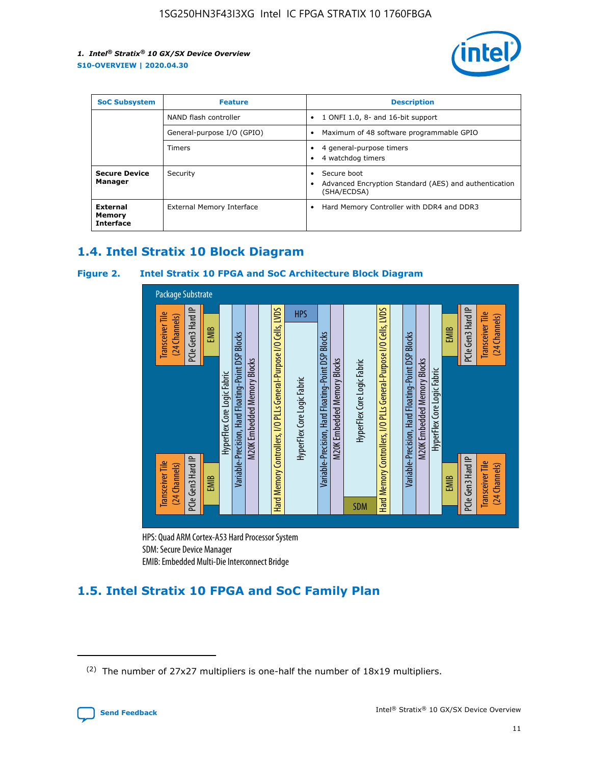

| <b>SoC Subsystem</b>                   | <b>Feature</b>             | <b>Description</b>                                                                                    |  |  |
|----------------------------------------|----------------------------|-------------------------------------------------------------------------------------------------------|--|--|
|                                        | NAND flash controller      | 1 ONFI 1.0, 8- and 16-bit support<br>$\bullet$                                                        |  |  |
|                                        | General-purpose I/O (GPIO) | Maximum of 48 software programmable GPIO<br>$\bullet$                                                 |  |  |
|                                        | Timers                     | 4 general-purpose timers<br>4 watchdog timers<br>٠                                                    |  |  |
| <b>Secure Device</b><br>Manager        | Security                   | Secure boot<br>$\bullet$<br>Advanced Encryption Standard (AES) and authentication<br>٠<br>(SHA/ECDSA) |  |  |
| External<br>Memory<br><b>Interface</b> | External Memory Interface  | Hard Memory Controller with DDR4 and DDR3<br>$\bullet$                                                |  |  |

## **1.4. Intel Stratix 10 Block Diagram**

## **Figure 2. Intel Stratix 10 FPGA and SoC Architecture Block Diagram**



HPS: Quad ARM Cortex-A53 Hard Processor System SDM: Secure Device Manager

## **1.5. Intel Stratix 10 FPGA and SoC Family Plan**

<sup>(2)</sup> The number of 27x27 multipliers is one-half the number of 18x19 multipliers.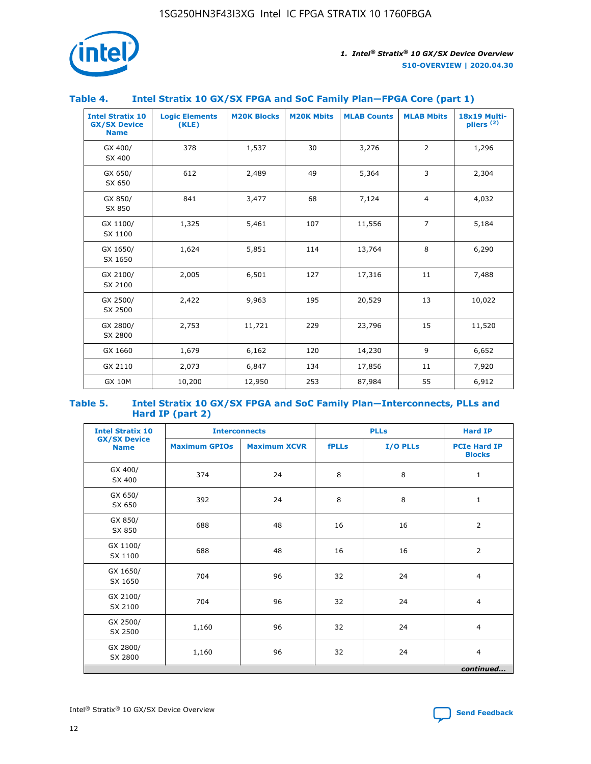

## **Table 4. Intel Stratix 10 GX/SX FPGA and SoC Family Plan—FPGA Core (part 1)**

| <b>Intel Stratix 10</b><br><b>GX/SX Device</b><br><b>Name</b> | <b>Logic Elements</b><br>(KLE) | <b>M20K Blocks</b> | <b>M20K Mbits</b> | <b>MLAB Counts</b> | <b>MLAB Mbits</b> | 18x19 Multi-<br>pliers <sup>(2)</sup> |
|---------------------------------------------------------------|--------------------------------|--------------------|-------------------|--------------------|-------------------|---------------------------------------|
| GX 400/<br>SX 400                                             | 378                            | 1,537              | 30                | 3,276              | $\overline{2}$    | 1,296                                 |
| GX 650/<br>SX 650                                             | 612                            | 2,489              | 49                | 5,364              | 3                 | 2,304                                 |
| GX 850/<br>SX 850                                             | 841                            | 3,477              | 68                | 7,124              | $\overline{4}$    | 4,032                                 |
| GX 1100/<br>SX 1100                                           | 1,325                          | 5,461              | 107               | 11,556             | $\overline{7}$    | 5,184                                 |
| GX 1650/<br>SX 1650                                           | 1,624                          | 5,851              | 114               | 13,764             | 8                 | 6,290                                 |
| GX 2100/<br>SX 2100                                           | 2,005                          | 6,501              | 127               | 17,316             | 11                | 7,488                                 |
| GX 2500/<br>SX 2500                                           | 2,422                          | 9,963              | 195               | 20,529             | 13                | 10,022                                |
| GX 2800/<br>SX 2800                                           | 2,753                          | 11,721             | 229               | 23,796             | 15                | 11,520                                |
| GX 1660                                                       | 1,679                          | 6,162              | 120               | 14,230             | 9                 | 6,652                                 |
| GX 2110                                                       | 2,073                          | 6,847              | 134               | 17,856             | 11                | 7,920                                 |
| <b>GX 10M</b>                                                 | 10,200                         | 12,950             | 253               | 87,984             | 55                | 6,912                                 |

#### **Table 5. Intel Stratix 10 GX/SX FPGA and SoC Family Plan—Interconnects, PLLs and Hard IP (part 2)**

| <b>Intel Stratix 10</b>            |                      | <b>PLLs</b><br><b>Interconnects</b> |              |          | <b>Hard IP</b>                       |  |
|------------------------------------|----------------------|-------------------------------------|--------------|----------|--------------------------------------|--|
| <b>GX/SX Device</b><br><b>Name</b> | <b>Maximum GPIOs</b> | <b>Maximum XCVR</b>                 | <b>fPLLs</b> | I/O PLLs | <b>PCIe Hard IP</b><br><b>Blocks</b> |  |
| GX 400/<br>SX 400                  | 374                  | 24                                  | 8            | 8        | $\mathbf{1}$                         |  |
| GX 650/<br>SX 650                  | 392                  | 24                                  | 8            | 8        | $\mathbf{1}$                         |  |
| GX 850/<br>SX 850                  | 688                  | 48                                  | 16           | 16       | 2                                    |  |
| GX 1100/<br>SX 1100                | 688                  | 48                                  | 16           | 16       | 2                                    |  |
| GX 1650/<br>SX 1650                | 704                  | 96                                  | 32           | 24       | $\overline{4}$                       |  |
| GX 2100/<br>SX 2100                | 704                  | 96                                  | 32           | 24       | 4                                    |  |
| GX 2500/<br>SX 2500                | 1,160                | 96                                  | 32           | 24       | $\overline{4}$                       |  |
| GX 2800/<br>SX 2800                | 1,160                | 96                                  | 32           | 24       | $\overline{4}$                       |  |
| continued                          |                      |                                     |              |          |                                      |  |

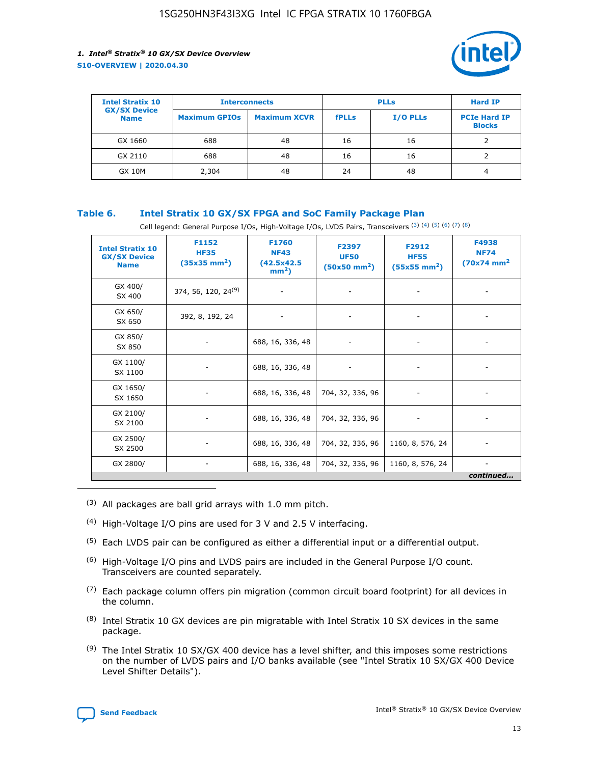

| <b>Intel Stratix 10</b>            | <b>Interconnects</b> |                     |              | <b>Hard IP</b>  |                                      |
|------------------------------------|----------------------|---------------------|--------------|-----------------|--------------------------------------|
| <b>GX/SX Device</b><br><b>Name</b> | <b>Maximum GPIOs</b> | <b>Maximum XCVR</b> | <b>fPLLs</b> | <b>I/O PLLs</b> | <b>PCIe Hard IP</b><br><b>Blocks</b> |
| GX 1660                            | 688                  | 48                  | 16           | 16              |                                      |
| GX 2110                            | 688                  | 48                  | 16           | 16              |                                      |
| <b>GX 10M</b>                      | 2,304                | 48                  | 24           | 48              | 4                                    |

## **Table 6. Intel Stratix 10 GX/SX FPGA and SoC Family Package Plan**

Cell legend: General Purpose I/Os, High-Voltage I/Os, LVDS Pairs, Transceivers (3) (4) (5) (6) (7) (8)

| <b>Intel Stratix 10</b><br><b>GX/SX Device</b><br><b>Name</b> | F1152<br><b>HF35</b><br>$(35x35 \text{ mm}^2)$ | <b>F1760</b><br><b>NF43</b><br>(42.5x42.5<br>$mm2$ ) | F2397<br><b>UF50</b><br>$(50x50 \text{ mm}^2)$ | F2912<br><b>HF55</b><br>$(55x55 \text{ mm}^2)$ | F4938<br><b>NF74</b><br>$(70x74)$ mm <sup>2</sup> |
|---------------------------------------------------------------|------------------------------------------------|------------------------------------------------------|------------------------------------------------|------------------------------------------------|---------------------------------------------------|
| GX 400/<br>SX 400                                             | 374, 56, 120, 24 <sup>(9)</sup>                | $\overline{\phantom{a}}$                             | $\overline{\phantom{a}}$                       |                                                |                                                   |
| GX 650/<br>SX 650                                             | 392, 8, 192, 24                                | ٠                                                    | $\overline{\phantom{a}}$                       |                                                |                                                   |
| GX 850/<br>SX 850                                             |                                                | 688, 16, 336, 48                                     |                                                |                                                |                                                   |
| GX 1100/<br>SX 1100                                           |                                                | 688, 16, 336, 48                                     |                                                |                                                |                                                   |
| GX 1650/<br>SX 1650                                           |                                                | 688, 16, 336, 48                                     | 704, 32, 336, 96                               |                                                |                                                   |
| GX 2100/<br>SX 2100                                           |                                                | 688, 16, 336, 48                                     | 704, 32, 336, 96                               | -                                              | ۰                                                 |
| GX 2500/<br>SX 2500                                           |                                                | 688, 16, 336, 48                                     | 704, 32, 336, 96                               | 1160, 8, 576, 24                               |                                                   |
| GX 2800/                                                      | $\overline{\phantom{a}}$                       | 688, 16, 336, 48                                     | 704, 32, 336, 96                               | 1160, 8, 576, 24                               | ٠<br>continued                                    |

- (3) All packages are ball grid arrays with 1.0 mm pitch.
- (4) High-Voltage I/O pins are used for 3 V and 2.5 V interfacing.
- $(5)$  Each LVDS pair can be configured as either a differential input or a differential output.
- (6) High-Voltage I/O pins and LVDS pairs are included in the General Purpose I/O count. Transceivers are counted separately.
- $(7)$  Each package column offers pin migration (common circuit board footprint) for all devices in the column.
- $(8)$  Intel Stratix 10 GX devices are pin migratable with Intel Stratix 10 SX devices in the same package.
- $(9)$  The Intel Stratix 10 SX/GX 400 device has a level shifter, and this imposes some restrictions on the number of LVDS pairs and I/O banks available (see "Intel Stratix 10 SX/GX 400 Device Level Shifter Details").

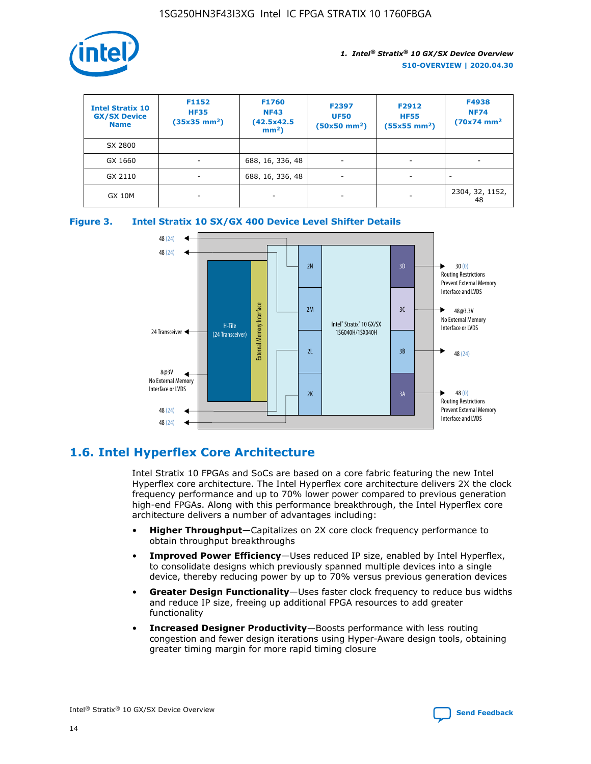

| <b>Intel Stratix 10</b><br><b>GX/SX Device</b><br><b>Name</b> | F1152<br><b>HF35</b><br>$(35x35 \text{ mm}^2)$ | F1760<br><b>NF43</b><br>(42.5x42.5<br>$mm2$ ) | F2397<br><b>UF50</b><br>$(50x50 \text{ mm}^2)$ | F2912<br><b>HF55</b><br>$(55x55$ mm <sup>2</sup> ) | F4938<br><b>NF74</b><br>$(70x74)$ mm <sup>2</sup> |
|---------------------------------------------------------------|------------------------------------------------|-----------------------------------------------|------------------------------------------------|----------------------------------------------------|---------------------------------------------------|
| SX 2800                                                       |                                                |                                               |                                                |                                                    |                                                   |
| GX 1660                                                       | ٠                                              | 688, 16, 336, 48                              | ۰                                              |                                                    |                                                   |
| GX 2110                                                       |                                                | 688, 16, 336, 48                              | $\overline{\phantom{a}}$                       |                                                    |                                                   |
| <b>GX 10M</b>                                                 | ۰                                              | -                                             | -                                              |                                                    | 2304, 32, 1152,<br>48                             |





## **1.6. Intel Hyperflex Core Architecture**

Intel Stratix 10 FPGAs and SoCs are based on a core fabric featuring the new Intel Hyperflex core architecture. The Intel Hyperflex core architecture delivers 2X the clock frequency performance and up to 70% lower power compared to previous generation high-end FPGAs. Along with this performance breakthrough, the Intel Hyperflex core architecture delivers a number of advantages including:

- **Higher Throughput**—Capitalizes on 2X core clock frequency performance to obtain throughput breakthroughs
- **Improved Power Efficiency**—Uses reduced IP size, enabled by Intel Hyperflex, to consolidate designs which previously spanned multiple devices into a single device, thereby reducing power by up to 70% versus previous generation devices
- **Greater Design Functionality**—Uses faster clock frequency to reduce bus widths and reduce IP size, freeing up additional FPGA resources to add greater functionality
- **Increased Designer Productivity**—Boosts performance with less routing congestion and fewer design iterations using Hyper-Aware design tools, obtaining greater timing margin for more rapid timing closure

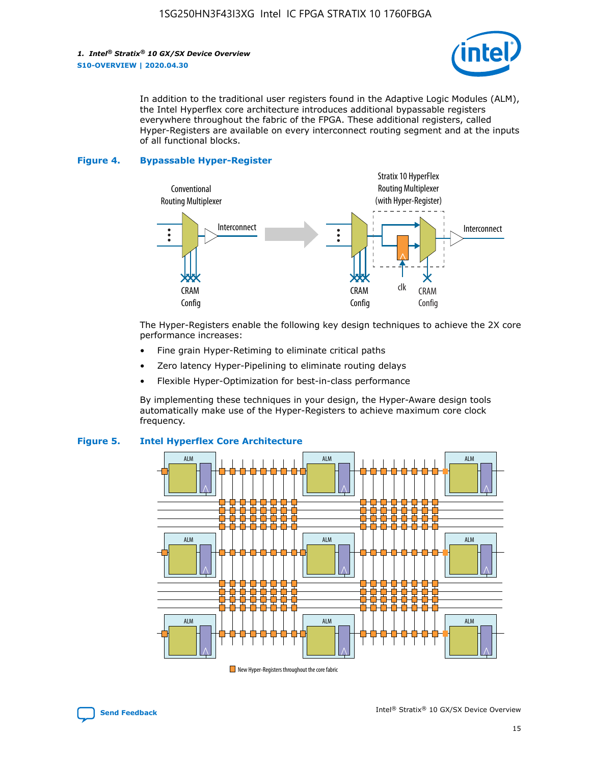

In addition to the traditional user registers found in the Adaptive Logic Modules (ALM), the Intel Hyperflex core architecture introduces additional bypassable registers everywhere throughout the fabric of the FPGA. These additional registers, called Hyper-Registers are available on every interconnect routing segment and at the inputs of all functional blocks.

#### **Figure 4. Bypassable Hyper-Register**



The Hyper-Registers enable the following key design techniques to achieve the 2X core performance increases:

- Fine grain Hyper-Retiming to eliminate critical paths
- Zero latency Hyper-Pipelining to eliminate routing delays
- Flexible Hyper-Optimization for best-in-class performance

By implementing these techniques in your design, the Hyper-Aware design tools automatically make use of the Hyper-Registers to achieve maximum core clock frequency.



## **Figure 5. Intel Hyperflex Core Architecture**

New Hyper-Registers throughout the core fabric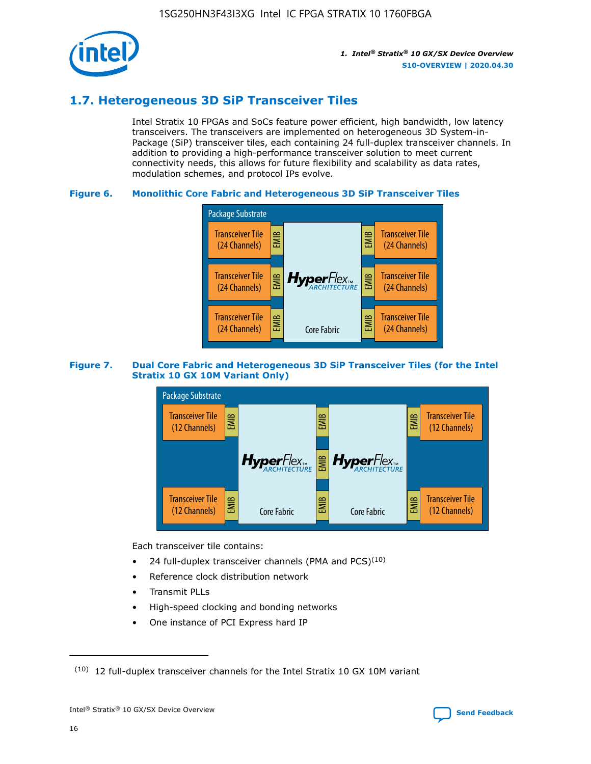

## **1.7. Heterogeneous 3D SiP Transceiver Tiles**

Intel Stratix 10 FPGAs and SoCs feature power efficient, high bandwidth, low latency transceivers. The transceivers are implemented on heterogeneous 3D System-in-Package (SiP) transceiver tiles, each containing 24 full-duplex transceiver channels. In addition to providing a high-performance transceiver solution to meet current connectivity needs, this allows for future flexibility and scalability as data rates, modulation schemes, and protocol IPs evolve.

## **Figure 6. Monolithic Core Fabric and Heterogeneous 3D SiP Transceiver Tiles**



## **Figure 7. Dual Core Fabric and Heterogeneous 3D SiP Transceiver Tiles (for the Intel Stratix 10 GX 10M Variant Only)**



Each transceiver tile contains:

- 24 full-duplex transceiver channels (PMA and PCS) $(10)$
- Reference clock distribution network
- Transmit PLLs
- High-speed clocking and bonding networks
- One instance of PCI Express hard IP

 $(10)$  12 full-duplex transceiver channels for the Intel Stratix 10 GX 10M variant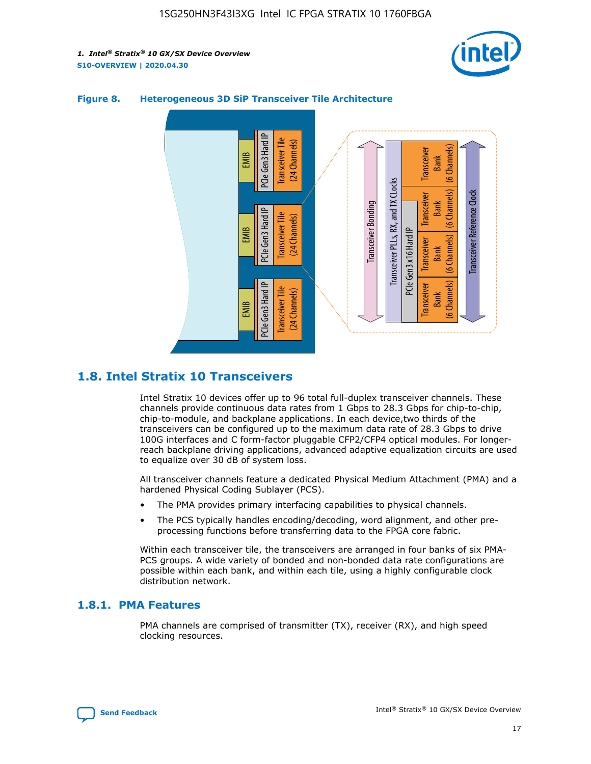



## **Figure 8. Heterogeneous 3D SiP Transceiver Tile Architecture**

## **1.8. Intel Stratix 10 Transceivers**

Intel Stratix 10 devices offer up to 96 total full-duplex transceiver channels. These channels provide continuous data rates from 1 Gbps to 28.3 Gbps for chip-to-chip, chip-to-module, and backplane applications. In each device,two thirds of the transceivers can be configured up to the maximum data rate of 28.3 Gbps to drive 100G interfaces and C form-factor pluggable CFP2/CFP4 optical modules. For longerreach backplane driving applications, advanced adaptive equalization circuits are used to equalize over 30 dB of system loss.

All transceiver channels feature a dedicated Physical Medium Attachment (PMA) and a hardened Physical Coding Sublayer (PCS).

- The PMA provides primary interfacing capabilities to physical channels.
- The PCS typically handles encoding/decoding, word alignment, and other preprocessing functions before transferring data to the FPGA core fabric.

Within each transceiver tile, the transceivers are arranged in four banks of six PMA-PCS groups. A wide variety of bonded and non-bonded data rate configurations are possible within each bank, and within each tile, using a highly configurable clock distribution network.

## **1.8.1. PMA Features**

PMA channels are comprised of transmitter (TX), receiver (RX), and high speed clocking resources.

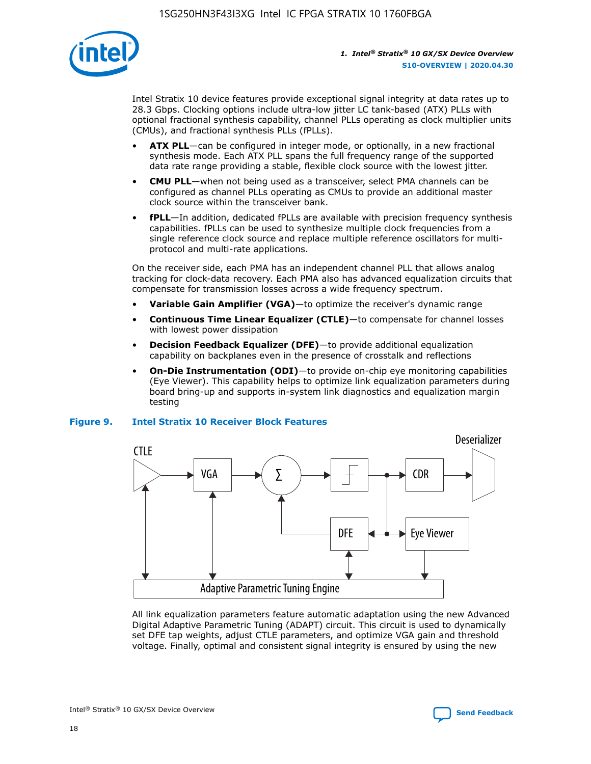

Intel Stratix 10 device features provide exceptional signal integrity at data rates up to 28.3 Gbps. Clocking options include ultra-low jitter LC tank-based (ATX) PLLs with optional fractional synthesis capability, channel PLLs operating as clock multiplier units (CMUs), and fractional synthesis PLLs (fPLLs).

- **ATX PLL**—can be configured in integer mode, or optionally, in a new fractional synthesis mode. Each ATX PLL spans the full frequency range of the supported data rate range providing a stable, flexible clock source with the lowest jitter.
- **CMU PLL**—when not being used as a transceiver, select PMA channels can be configured as channel PLLs operating as CMUs to provide an additional master clock source within the transceiver bank.
- **fPLL**—In addition, dedicated fPLLs are available with precision frequency synthesis capabilities. fPLLs can be used to synthesize multiple clock frequencies from a single reference clock source and replace multiple reference oscillators for multiprotocol and multi-rate applications.

On the receiver side, each PMA has an independent channel PLL that allows analog tracking for clock-data recovery. Each PMA also has advanced equalization circuits that compensate for transmission losses across a wide frequency spectrum.

- **Variable Gain Amplifier (VGA)**—to optimize the receiver's dynamic range
- **Continuous Time Linear Equalizer (CTLE)**—to compensate for channel losses with lowest power dissipation
- **Decision Feedback Equalizer (DFE)**—to provide additional equalization capability on backplanes even in the presence of crosstalk and reflections
- **On-Die Instrumentation (ODI)**—to provide on-chip eye monitoring capabilities (Eye Viewer). This capability helps to optimize link equalization parameters during board bring-up and supports in-system link diagnostics and equalization margin testing

#### **Figure 9. Intel Stratix 10 Receiver Block Features**



All link equalization parameters feature automatic adaptation using the new Advanced Digital Adaptive Parametric Tuning (ADAPT) circuit. This circuit is used to dynamically set DFE tap weights, adjust CTLE parameters, and optimize VGA gain and threshold voltage. Finally, optimal and consistent signal integrity is ensured by using the new



Intel<sup>®</sup> Stratix<sup>®</sup> 10 GX/SX Device Overview **[Send Feedback](mailto:FPGAtechdocfeedback@intel.com?subject=Feedback%20on%20Intel%20Stratix%2010%20GX/SX%20Device%20Overview%20(S10-OVERVIEW%202020.04.30)&body=We%20appreciate%20your%20feedback.%20In%20your%20comments,%20also%20specify%20the%20page%20number%20or%20paragraph.%20Thank%20you.)** Send Feedback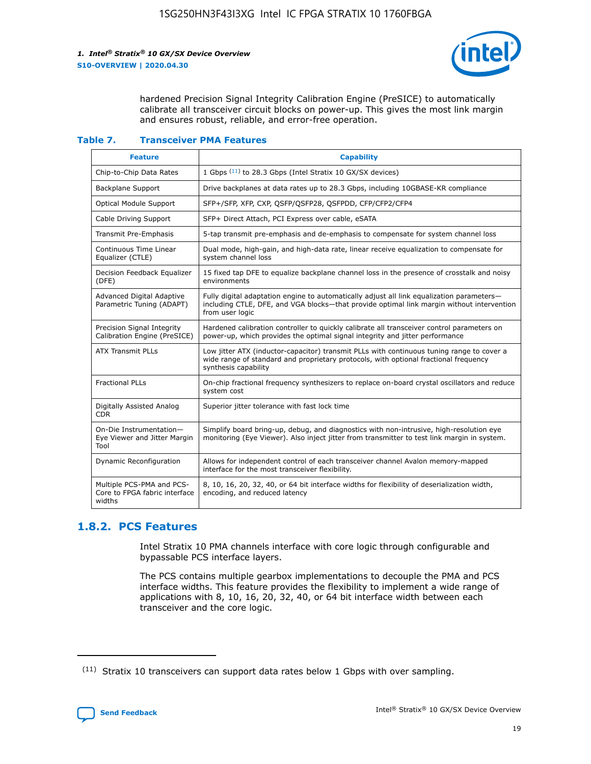

hardened Precision Signal Integrity Calibration Engine (PreSICE) to automatically calibrate all transceiver circuit blocks on power-up. This gives the most link margin and ensures robust, reliable, and error-free operation.

#### **Table 7. Transceiver PMA Features**

| <b>Feature</b>                                                       | <b>Capability</b>                                                                                                                                                                                         |
|----------------------------------------------------------------------|-----------------------------------------------------------------------------------------------------------------------------------------------------------------------------------------------------------|
| Chip-to-Chip Data Rates                                              | 1 Gbps (11) to 28.3 Gbps (Intel Stratix 10 GX/SX devices)                                                                                                                                                 |
| <b>Backplane Support</b>                                             | Drive backplanes at data rates up to 28.3 Gbps, including 10GBASE-KR compliance                                                                                                                           |
| Optical Module Support                                               | SFP+/SFP, XFP, CXP, QSFP/QSFP28, QSFPDD, CFP/CFP2/CFP4                                                                                                                                                    |
| Cable Driving Support                                                | SFP+ Direct Attach, PCI Express over cable, eSATA                                                                                                                                                         |
| <b>Transmit Pre-Emphasis</b>                                         | 5-tap transmit pre-emphasis and de-emphasis to compensate for system channel loss                                                                                                                         |
| Continuous Time Linear<br>Equalizer (CTLE)                           | Dual mode, high-gain, and high-data rate, linear receive equalization to compensate for<br>system channel loss                                                                                            |
| Decision Feedback Equalizer<br>(DFE)                                 | 15 fixed tap DFE to equalize backplane channel loss in the presence of crosstalk and noisy<br>environments                                                                                                |
| Advanced Digital Adaptive<br>Parametric Tuning (ADAPT)               | Fully digital adaptation engine to automatically adjust all link equalization parameters-<br>including CTLE, DFE, and VGA blocks-that provide optimal link margin without intervention<br>from user logic |
| Precision Signal Integrity<br>Calibration Engine (PreSICE)           | Hardened calibration controller to quickly calibrate all transceiver control parameters on<br>power-up, which provides the optimal signal integrity and jitter performance                                |
| <b>ATX Transmit PLLs</b>                                             | Low jitter ATX (inductor-capacitor) transmit PLLs with continuous tuning range to cover a<br>wide range of standard and proprietary protocols, with optional fractional frequency<br>synthesis capability |
| <b>Fractional PLLs</b>                                               | On-chip fractional frequency synthesizers to replace on-board crystal oscillators and reduce<br>system cost                                                                                               |
| Digitally Assisted Analog<br>CDR.                                    | Superior jitter tolerance with fast lock time                                                                                                                                                             |
| On-Die Instrumentation-<br>Eye Viewer and Jitter Margin<br>Tool      | Simplify board bring-up, debug, and diagnostics with non-intrusive, high-resolution eye<br>monitoring (Eye Viewer). Also inject jitter from transmitter to test link margin in system.                    |
| Dynamic Reconfiguration                                              | Allows for independent control of each transceiver channel Avalon memory-mapped<br>interface for the most transceiver flexibility.                                                                        |
| Multiple PCS-PMA and PCS-<br>Core to FPGA fabric interface<br>widths | 8, 10, 16, 20, 32, 40, or 64 bit interface widths for flexibility of deserialization width,<br>encoding, and reduced latency                                                                              |

## **1.8.2. PCS Features**

Intel Stratix 10 PMA channels interface with core logic through configurable and bypassable PCS interface layers.

The PCS contains multiple gearbox implementations to decouple the PMA and PCS interface widths. This feature provides the flexibility to implement a wide range of applications with 8, 10, 16, 20, 32, 40, or 64 bit interface width between each transceiver and the core logic.

<sup>(11)</sup> Stratix 10 transceivers can support data rates below 1 Gbps with over sampling.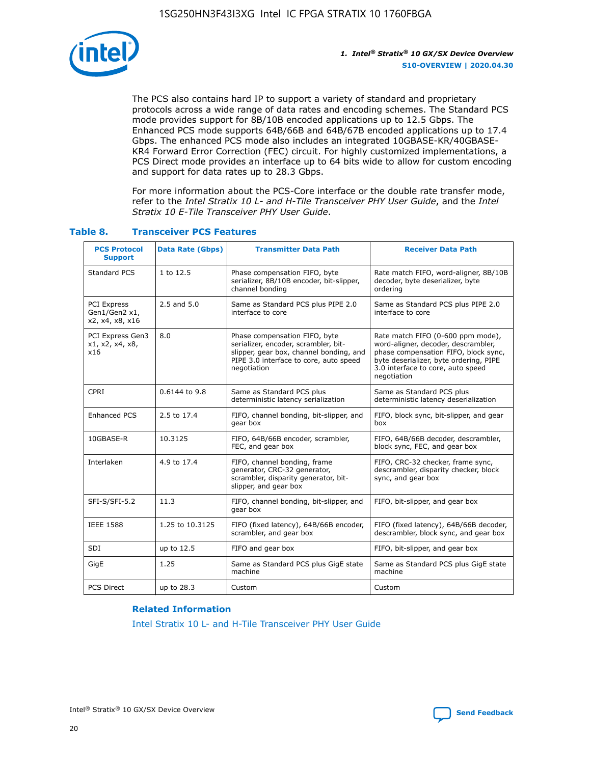

The PCS also contains hard IP to support a variety of standard and proprietary protocols across a wide range of data rates and encoding schemes. The Standard PCS mode provides support for 8B/10B encoded applications up to 12.5 Gbps. The Enhanced PCS mode supports 64B/66B and 64B/67B encoded applications up to 17.4 Gbps. The enhanced PCS mode also includes an integrated 10GBASE-KR/40GBASE-KR4 Forward Error Correction (FEC) circuit. For highly customized implementations, a PCS Direct mode provides an interface up to 64 bits wide to allow for custom encoding and support for data rates up to 28.3 Gbps.

For more information about the PCS-Core interface or the double rate transfer mode, refer to the *Intel Stratix 10 L- and H-Tile Transceiver PHY User Guide*, and the *Intel Stratix 10 E-Tile Transceiver PHY User Guide*.

| <b>PCS Protocol</b><br><b>Support</b>           | <b>Data Rate (Gbps)</b> | <b>Transmitter Data Path</b>                                                                                                                                              | <b>Receiver Data Path</b>                                                                                                                                                                                      |
|-------------------------------------------------|-------------------------|---------------------------------------------------------------------------------------------------------------------------------------------------------------------------|----------------------------------------------------------------------------------------------------------------------------------------------------------------------------------------------------------------|
| Standard PCS                                    | 1 to 12.5               | Phase compensation FIFO, byte<br>serializer, 8B/10B encoder, bit-slipper,<br>channel bonding                                                                              | Rate match FIFO, word-aligner, 8B/10B<br>decoder, byte deserializer, byte<br>ordering                                                                                                                          |
| PCI Express<br>Gen1/Gen2 x1,<br>x2, x4, x8, x16 | $2.5$ and $5.0$         | Same as Standard PCS plus PIPE 2.0<br>interface to core                                                                                                                   | Same as Standard PCS plus PIPE 2.0<br>interface to core                                                                                                                                                        |
| PCI Express Gen3<br>x1, x2, x4, x8,<br>x16      | 8.0                     | Phase compensation FIFO, byte<br>serializer, encoder, scrambler, bit-<br>slipper, gear box, channel bonding, and<br>PIPE 3.0 interface to core, auto speed<br>negotiation | Rate match FIFO (0-600 ppm mode),<br>word-aligner, decoder, descrambler,<br>phase compensation FIFO, block sync,<br>byte deserializer, byte ordering, PIPE<br>3.0 interface to core, auto speed<br>negotiation |
| CPRI                                            | 0.6144 to 9.8           | Same as Standard PCS plus<br>deterministic latency serialization                                                                                                          | Same as Standard PCS plus<br>deterministic latency deserialization                                                                                                                                             |
| <b>Enhanced PCS</b>                             | 2.5 to 17.4             | FIFO, channel bonding, bit-slipper, and<br>gear box                                                                                                                       | FIFO, block sync, bit-slipper, and gear<br>box                                                                                                                                                                 |
| 10GBASE-R                                       | 10.3125                 | FIFO, 64B/66B encoder, scrambler,<br>FEC, and gear box                                                                                                                    | FIFO, 64B/66B decoder, descrambler,<br>block sync, FEC, and gear box                                                                                                                                           |
| Interlaken                                      | 4.9 to 17.4             | FIFO, channel bonding, frame<br>generator, CRC-32 generator,<br>scrambler, disparity generator, bit-<br>slipper, and gear box                                             | FIFO, CRC-32 checker, frame sync,<br>descrambler, disparity checker, block<br>sync, and gear box                                                                                                               |
| SFI-S/SFI-5.2                                   | 11.3                    | FIFO, channel bonding, bit-slipper, and<br>gear box                                                                                                                       | FIFO, bit-slipper, and gear box                                                                                                                                                                                |
| <b>IEEE 1588</b>                                | 1.25 to 10.3125         | FIFO (fixed latency), 64B/66B encoder,<br>scrambler, and gear box                                                                                                         | FIFO (fixed latency), 64B/66B decoder,<br>descrambler, block sync, and gear box                                                                                                                                |
| SDI                                             | up to 12.5              | FIFO and gear box                                                                                                                                                         | FIFO, bit-slipper, and gear box                                                                                                                                                                                |
| GigE                                            | 1.25                    | Same as Standard PCS plus GigE state<br>machine                                                                                                                           | Same as Standard PCS plus GigE state<br>machine                                                                                                                                                                |
| <b>PCS Direct</b>                               | up to 28.3              | Custom                                                                                                                                                                    | Custom                                                                                                                                                                                                         |

## **Table 8. Transceiver PCS Features**

#### **Related Information**

[Intel Stratix 10 L- and H-Tile Transceiver PHY User Guide](https://www.altera.com/documentation/wry1479165198810.html)

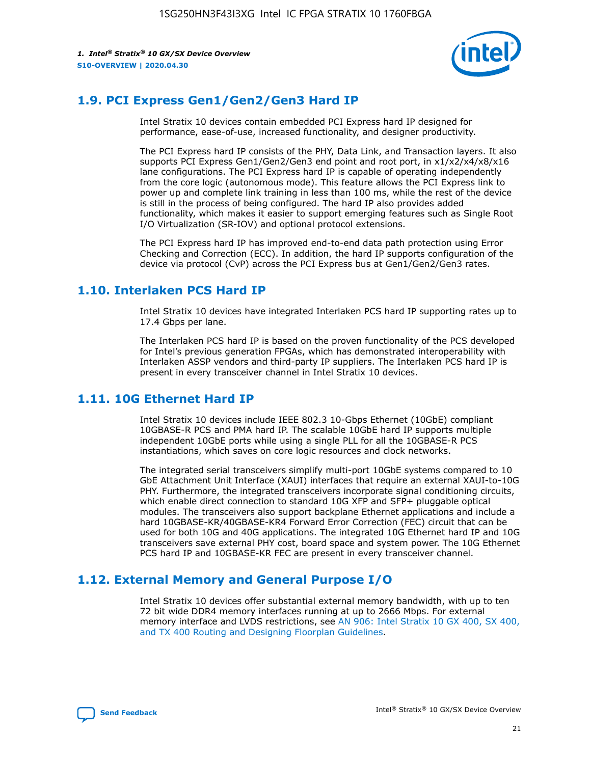

## **1.9. PCI Express Gen1/Gen2/Gen3 Hard IP**

Intel Stratix 10 devices contain embedded PCI Express hard IP designed for performance, ease-of-use, increased functionality, and designer productivity.

The PCI Express hard IP consists of the PHY, Data Link, and Transaction layers. It also supports PCI Express Gen1/Gen2/Gen3 end point and root port, in x1/x2/x4/x8/x16 lane configurations. The PCI Express hard IP is capable of operating independently from the core logic (autonomous mode). This feature allows the PCI Express link to power up and complete link training in less than 100 ms, while the rest of the device is still in the process of being configured. The hard IP also provides added functionality, which makes it easier to support emerging features such as Single Root I/O Virtualization (SR-IOV) and optional protocol extensions.

The PCI Express hard IP has improved end-to-end data path protection using Error Checking and Correction (ECC). In addition, the hard IP supports configuration of the device via protocol (CvP) across the PCI Express bus at Gen1/Gen2/Gen3 rates.

## **1.10. Interlaken PCS Hard IP**

Intel Stratix 10 devices have integrated Interlaken PCS hard IP supporting rates up to 17.4 Gbps per lane.

The Interlaken PCS hard IP is based on the proven functionality of the PCS developed for Intel's previous generation FPGAs, which has demonstrated interoperability with Interlaken ASSP vendors and third-party IP suppliers. The Interlaken PCS hard IP is present in every transceiver channel in Intel Stratix 10 devices.

## **1.11. 10G Ethernet Hard IP**

Intel Stratix 10 devices include IEEE 802.3 10-Gbps Ethernet (10GbE) compliant 10GBASE-R PCS and PMA hard IP. The scalable 10GbE hard IP supports multiple independent 10GbE ports while using a single PLL for all the 10GBASE-R PCS instantiations, which saves on core logic resources and clock networks.

The integrated serial transceivers simplify multi-port 10GbE systems compared to 10 GbE Attachment Unit Interface (XAUI) interfaces that require an external XAUI-to-10G PHY. Furthermore, the integrated transceivers incorporate signal conditioning circuits, which enable direct connection to standard 10G XFP and SFP+ pluggable optical modules. The transceivers also support backplane Ethernet applications and include a hard 10GBASE-KR/40GBASE-KR4 Forward Error Correction (FEC) circuit that can be used for both 10G and 40G applications. The integrated 10G Ethernet hard IP and 10G transceivers save external PHY cost, board space and system power. The 10G Ethernet PCS hard IP and 10GBASE-KR FEC are present in every transceiver channel.

## **1.12. External Memory and General Purpose I/O**

Intel Stratix 10 devices offer substantial external memory bandwidth, with up to ten 72 bit wide DDR4 memory interfaces running at up to 2666 Mbps. For external memory interface and LVDS restrictions, see [AN 906: Intel Stratix 10 GX 400, SX 400,](https://www.intel.com/content/www/us/en/programmable/documentation/sjf1574667190623.html#bft1574667627484) [and TX 400 Routing and Designing Floorplan Guidelines.](https://www.intel.com/content/www/us/en/programmable/documentation/sjf1574667190623.html#bft1574667627484)

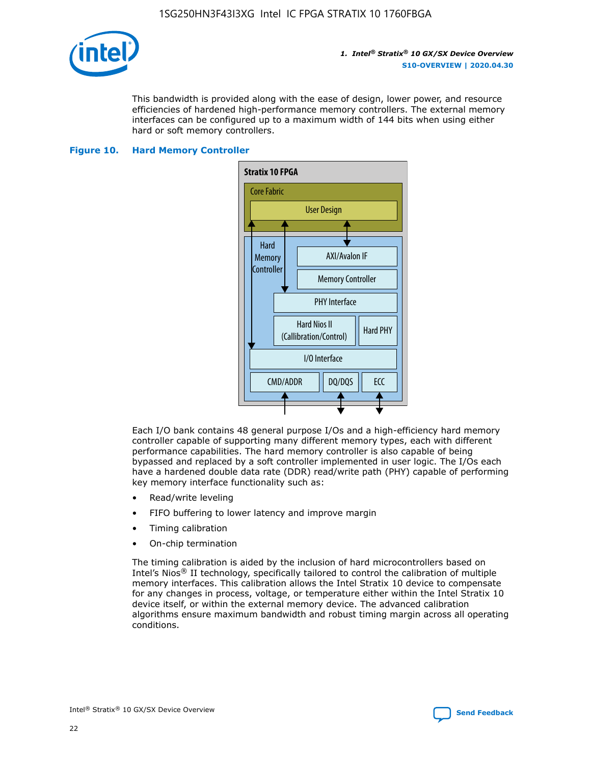

This bandwidth is provided along with the ease of design, lower power, and resource efficiencies of hardened high-performance memory controllers. The external memory interfaces can be configured up to a maximum width of 144 bits when using either hard or soft memory controllers.

#### **Figure 10. Hard Memory Controller**



Each I/O bank contains 48 general purpose I/Os and a high-efficiency hard memory controller capable of supporting many different memory types, each with different performance capabilities. The hard memory controller is also capable of being bypassed and replaced by a soft controller implemented in user logic. The I/Os each have a hardened double data rate (DDR) read/write path (PHY) capable of performing key memory interface functionality such as:

- Read/write leveling
- FIFO buffering to lower latency and improve margin
- Timing calibration
- On-chip termination

The timing calibration is aided by the inclusion of hard microcontrollers based on Intel's Nios® II technology, specifically tailored to control the calibration of multiple memory interfaces. This calibration allows the Intel Stratix 10 device to compensate for any changes in process, voltage, or temperature either within the Intel Stratix 10 device itself, or within the external memory device. The advanced calibration algorithms ensure maximum bandwidth and robust timing margin across all operating conditions.

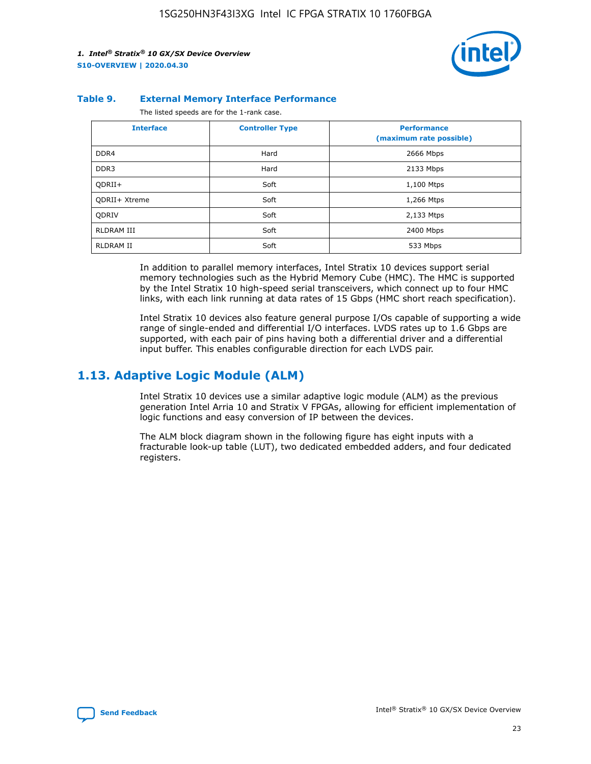

#### **Table 9. External Memory Interface Performance**

The listed speeds are for the 1-rank case.

| <b>Interface</b> | <b>Controller Type</b> | <b>Performance</b><br>(maximum rate possible) |
|------------------|------------------------|-----------------------------------------------|
| DDR4             | Hard                   | 2666 Mbps                                     |
| DDR <sub>3</sub> | Hard                   | 2133 Mbps                                     |
| QDRII+           | Soft                   | 1,100 Mtps                                    |
| QDRII+ Xtreme    | Soft                   | 1,266 Mtps                                    |
| <b>ODRIV</b>     | Soft                   | 2,133 Mtps                                    |
| RLDRAM III       | Soft                   | 2400 Mbps                                     |
| <b>RLDRAM II</b> | Soft                   | 533 Mbps                                      |

In addition to parallel memory interfaces, Intel Stratix 10 devices support serial memory technologies such as the Hybrid Memory Cube (HMC). The HMC is supported by the Intel Stratix 10 high-speed serial transceivers, which connect up to four HMC links, with each link running at data rates of 15 Gbps (HMC short reach specification).

Intel Stratix 10 devices also feature general purpose I/Os capable of supporting a wide range of single-ended and differential I/O interfaces. LVDS rates up to 1.6 Gbps are supported, with each pair of pins having both a differential driver and a differential input buffer. This enables configurable direction for each LVDS pair.

## **1.13. Adaptive Logic Module (ALM)**

Intel Stratix 10 devices use a similar adaptive logic module (ALM) as the previous generation Intel Arria 10 and Stratix V FPGAs, allowing for efficient implementation of logic functions and easy conversion of IP between the devices.

The ALM block diagram shown in the following figure has eight inputs with a fracturable look-up table (LUT), two dedicated embedded adders, and four dedicated registers.

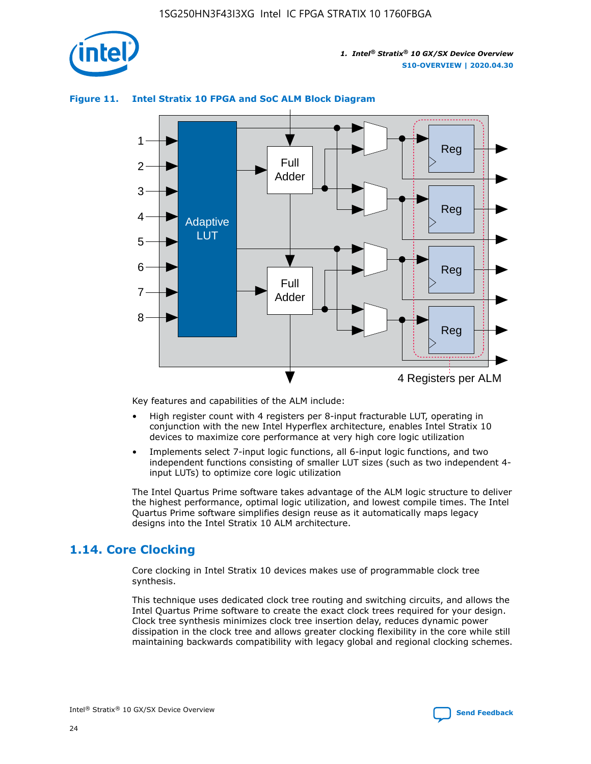

## **Figure 11. Intel Stratix 10 FPGA and SoC ALM Block Diagram**



Key features and capabilities of the ALM include:

- High register count with 4 registers per 8-input fracturable LUT, operating in conjunction with the new Intel Hyperflex architecture, enables Intel Stratix 10 devices to maximize core performance at very high core logic utilization
- Implements select 7-input logic functions, all 6-input logic functions, and two independent functions consisting of smaller LUT sizes (such as two independent 4 input LUTs) to optimize core logic utilization

The Intel Quartus Prime software takes advantage of the ALM logic structure to deliver the highest performance, optimal logic utilization, and lowest compile times. The Intel Quartus Prime software simplifies design reuse as it automatically maps legacy designs into the Intel Stratix 10 ALM architecture.

## **1.14. Core Clocking**

Core clocking in Intel Stratix 10 devices makes use of programmable clock tree synthesis.

This technique uses dedicated clock tree routing and switching circuits, and allows the Intel Quartus Prime software to create the exact clock trees required for your design. Clock tree synthesis minimizes clock tree insertion delay, reduces dynamic power dissipation in the clock tree and allows greater clocking flexibility in the core while still maintaining backwards compatibility with legacy global and regional clocking schemes.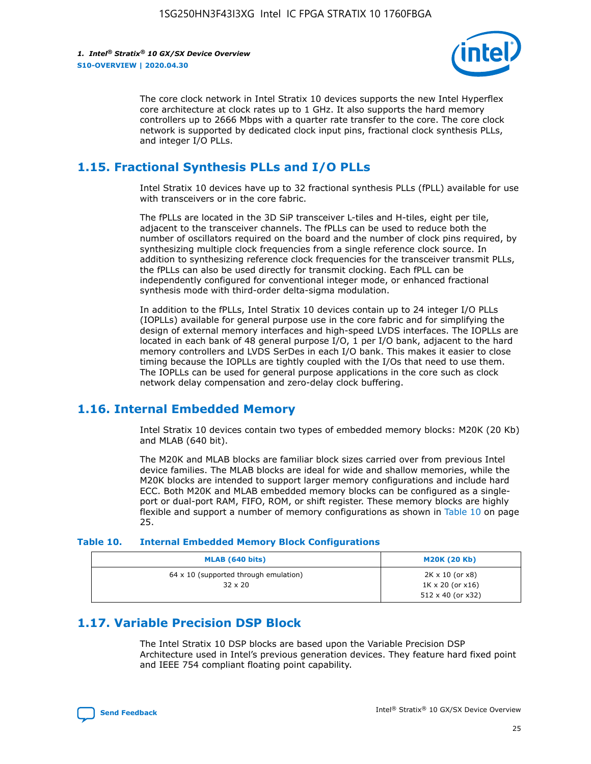

The core clock network in Intel Stratix 10 devices supports the new Intel Hyperflex core architecture at clock rates up to 1 GHz. It also supports the hard memory controllers up to 2666 Mbps with a quarter rate transfer to the core. The core clock network is supported by dedicated clock input pins, fractional clock synthesis PLLs, and integer I/O PLLs.

## **1.15. Fractional Synthesis PLLs and I/O PLLs**

Intel Stratix 10 devices have up to 32 fractional synthesis PLLs (fPLL) available for use with transceivers or in the core fabric.

The fPLLs are located in the 3D SiP transceiver L-tiles and H-tiles, eight per tile, adjacent to the transceiver channels. The fPLLs can be used to reduce both the number of oscillators required on the board and the number of clock pins required, by synthesizing multiple clock frequencies from a single reference clock source. In addition to synthesizing reference clock frequencies for the transceiver transmit PLLs, the fPLLs can also be used directly for transmit clocking. Each fPLL can be independently configured for conventional integer mode, or enhanced fractional synthesis mode with third-order delta-sigma modulation.

In addition to the fPLLs, Intel Stratix 10 devices contain up to 24 integer I/O PLLs (IOPLLs) available for general purpose use in the core fabric and for simplifying the design of external memory interfaces and high-speed LVDS interfaces. The IOPLLs are located in each bank of 48 general purpose I/O, 1 per I/O bank, adjacent to the hard memory controllers and LVDS SerDes in each I/O bank. This makes it easier to close timing because the IOPLLs are tightly coupled with the I/Os that need to use them. The IOPLLs can be used for general purpose applications in the core such as clock network delay compensation and zero-delay clock buffering.

## **1.16. Internal Embedded Memory**

Intel Stratix 10 devices contain two types of embedded memory blocks: M20K (20 Kb) and MLAB (640 bit).

The M20K and MLAB blocks are familiar block sizes carried over from previous Intel device families. The MLAB blocks are ideal for wide and shallow memories, while the M20K blocks are intended to support larger memory configurations and include hard ECC. Both M20K and MLAB embedded memory blocks can be configured as a singleport or dual-port RAM, FIFO, ROM, or shift register. These memory blocks are highly flexible and support a number of memory configurations as shown in Table 10 on page 25.

#### **Table 10. Internal Embedded Memory Block Configurations**

| MLAB (640 bits)                                                | <b>M20K (20 Kb)</b>                                                                    |
|----------------------------------------------------------------|----------------------------------------------------------------------------------------|
| $64 \times 10$ (supported through emulation)<br>$32 \times 20$ | $2K \times 10$ (or $x8$ )<br>$1K \times 20$ (or $x16$ )<br>$512 \times 40$ (or $x32$ ) |

## **1.17. Variable Precision DSP Block**

The Intel Stratix 10 DSP blocks are based upon the Variable Precision DSP Architecture used in Intel's previous generation devices. They feature hard fixed point and IEEE 754 compliant floating point capability.

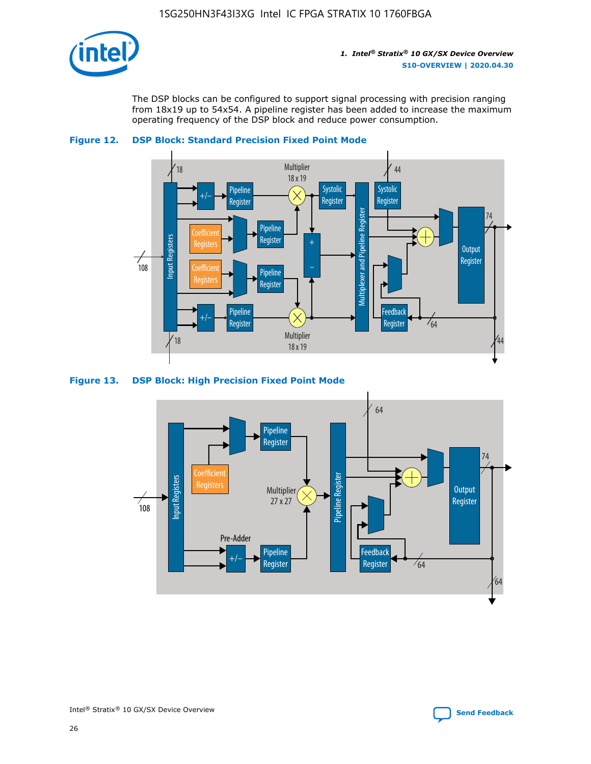

The DSP blocks can be configured to support signal processing with precision ranging from 18x19 up to 54x54. A pipeline register has been added to increase the maximum operating frequency of the DSP block and reduce power consumption.





#### **Figure 13. DSP Block: High Precision Fixed Point Mode**

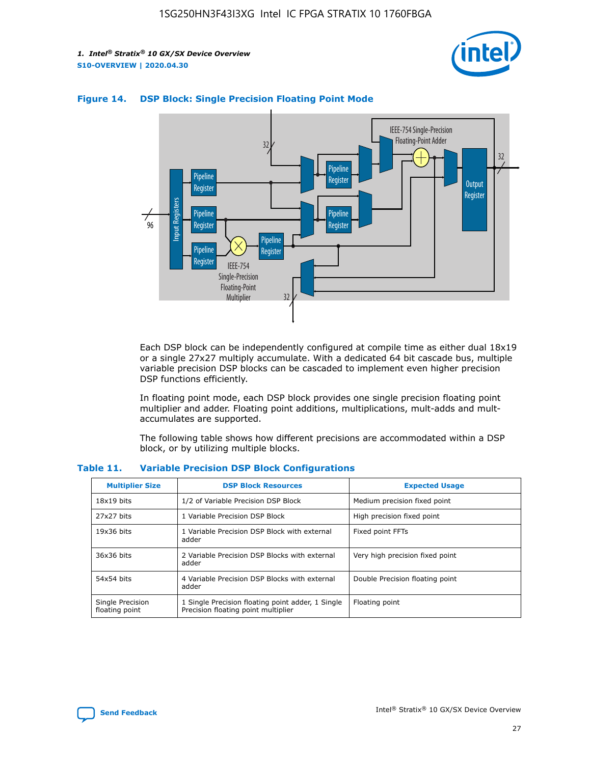



## **Figure 14. DSP Block: Single Precision Floating Point Mode**

Each DSP block can be independently configured at compile time as either dual 18x19 or a single 27x27 multiply accumulate. With a dedicated 64 bit cascade bus, multiple variable precision DSP blocks can be cascaded to implement even higher precision DSP functions efficiently.

In floating point mode, each DSP block provides one single precision floating point multiplier and adder. Floating point additions, multiplications, mult-adds and multaccumulates are supported.

The following table shows how different precisions are accommodated within a DSP block, or by utilizing multiple blocks.

| <b>Multiplier Size</b>             | <b>DSP Block Resources</b>                                                               | <b>Expected Usage</b>           |
|------------------------------------|------------------------------------------------------------------------------------------|---------------------------------|
| $18x19$ bits                       | 1/2 of Variable Precision DSP Block                                                      | Medium precision fixed point    |
| 27x27 bits                         | 1 Variable Precision DSP Block                                                           | High precision fixed point      |
| $19x36$ bits                       | 1 Variable Precision DSP Block with external<br>adder                                    | Fixed point FFTs                |
| 36x36 bits                         | 2 Variable Precision DSP Blocks with external<br>adder                                   | Very high precision fixed point |
| 54x54 bits                         | 4 Variable Precision DSP Blocks with external<br>adder                                   | Double Precision floating point |
| Single Precision<br>floating point | 1 Single Precision floating point adder, 1 Single<br>Precision floating point multiplier | Floating point                  |

#### **Table 11. Variable Precision DSP Block Configurations**

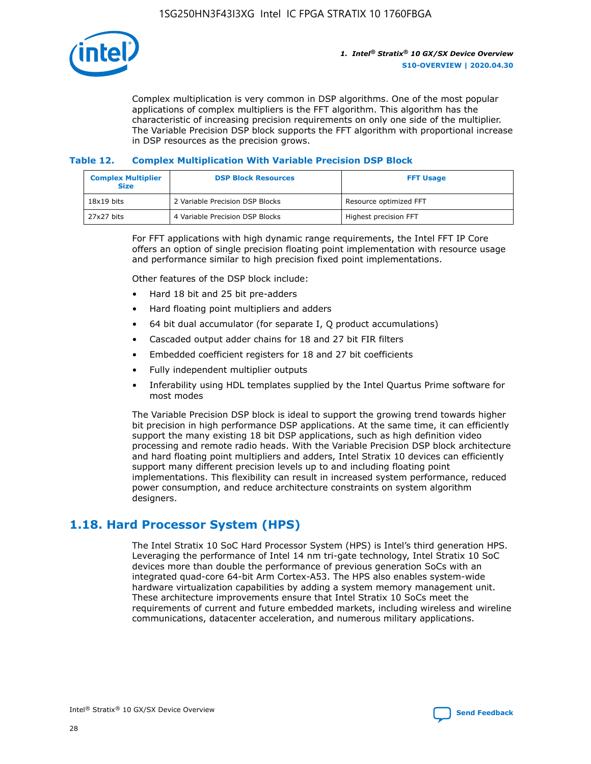

Complex multiplication is very common in DSP algorithms. One of the most popular applications of complex multipliers is the FFT algorithm. This algorithm has the characteristic of increasing precision requirements on only one side of the multiplier. The Variable Precision DSP block supports the FFT algorithm with proportional increase in DSP resources as the precision grows.

## **Table 12. Complex Multiplication With Variable Precision DSP Block**

| <b>Complex Multiplier</b><br><b>Size</b> | <b>DSP Block Resources</b>      | <b>FFT Usage</b>       |
|------------------------------------------|---------------------------------|------------------------|
| $18x19$ bits                             | 2 Variable Precision DSP Blocks | Resource optimized FFT |
| 27x27 bits                               | 4 Variable Precision DSP Blocks | Highest precision FFT  |

For FFT applications with high dynamic range requirements, the Intel FFT IP Core offers an option of single precision floating point implementation with resource usage and performance similar to high precision fixed point implementations.

Other features of the DSP block include:

- Hard 18 bit and 25 bit pre-adders
- Hard floating point multipliers and adders
- 64 bit dual accumulator (for separate I, Q product accumulations)
- Cascaded output adder chains for 18 and 27 bit FIR filters
- Embedded coefficient registers for 18 and 27 bit coefficients
- Fully independent multiplier outputs
- Inferability using HDL templates supplied by the Intel Quartus Prime software for most modes

The Variable Precision DSP block is ideal to support the growing trend towards higher bit precision in high performance DSP applications. At the same time, it can efficiently support the many existing 18 bit DSP applications, such as high definition video processing and remote radio heads. With the Variable Precision DSP block architecture and hard floating point multipliers and adders, Intel Stratix 10 devices can efficiently support many different precision levels up to and including floating point implementations. This flexibility can result in increased system performance, reduced power consumption, and reduce architecture constraints on system algorithm designers.

## **1.18. Hard Processor System (HPS)**

The Intel Stratix 10 SoC Hard Processor System (HPS) is Intel's third generation HPS. Leveraging the performance of Intel 14 nm tri-gate technology, Intel Stratix 10 SoC devices more than double the performance of previous generation SoCs with an integrated quad-core 64-bit Arm Cortex-A53. The HPS also enables system-wide hardware virtualization capabilities by adding a system memory management unit. These architecture improvements ensure that Intel Stratix 10 SoCs meet the requirements of current and future embedded markets, including wireless and wireline communications, datacenter acceleration, and numerous military applications.

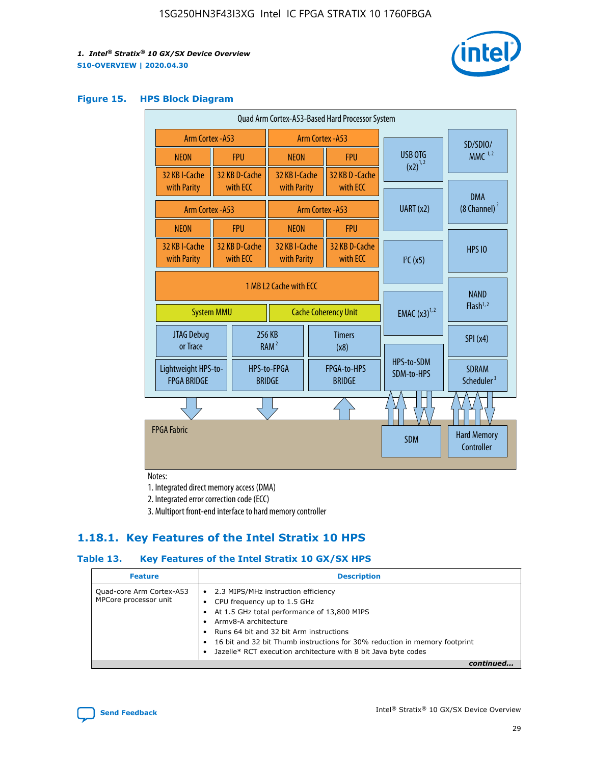

#### **Figure 15. HPS Block Diagram**

| Quad Arm Cortex-A53-Based Hard Processor System |                        |                           |                                                           |  |                              |                          |                                     |                                        |
|-------------------------------------------------|------------------------|---------------------------|-----------------------------------------------------------|--|------------------------------|--------------------------|-------------------------------------|----------------------------------------|
| <b>Arm Cortex - A53</b>                         |                        |                           | Arm Cortex - A53                                          |  |                              |                          | SD/SDIO/                            |                                        |
| <b>NEON</b>                                     |                        | <b>FPU</b>                | <b>NEON</b>                                               |  | <b>FPU</b>                   |                          | USB OTG                             | $MMC$ <sup>1,2</sup>                   |
| 32 KB I-Cache                                   |                        | 32 KB D-Cache             | 32 KB I-Cache                                             |  | 32 KB D - Cache              |                          | $(x2)^{1,2}$                        |                                        |
| with Parity                                     |                        | with ECC                  | with Parity                                               |  | with ECC                     |                          |                                     | <b>DMA</b>                             |
| Arm Cortex - A53                                |                        |                           |                                                           |  | Arm Cortex - A53             |                          | UART (x2)                           | $(8 \text{ Channel})^2$                |
| <b>NEON</b>                                     |                        | <b>FPU</b>                | <b>NEON</b>                                               |  | <b>FPU</b>                   |                          |                                     |                                        |
| 32 KB I-Cache<br>with Parity                    |                        | 32 KB D-Cache<br>with ECC | 32 KB I-Cache<br>32 KB D-Cache<br>with ECC<br>with Parity |  |                              | I <sup>2</sup> C(x5)     | <b>HPS 10</b>                       |                                        |
|                                                 | 1 MB L2 Cache with ECC |                           |                                                           |  |                              |                          |                                     |                                        |
| <b>System MMU</b>                               |                        |                           | <b>Cache Coherency Unit</b>                               |  |                              | <b>EMAC</b> $(x3)^{1,2}$ | <b>NAND</b><br>Flash <sup>1,2</sup> |                                        |
| JTAG Debug<br>or Trace                          |                        |                           | 256 KB<br><b>Timers</b><br>RAM <sup>2</sup><br>(x8)       |  |                              |                          | SPI(x4)                             |                                        |
| Lightweight HPS-to-<br><b>FPGA BRIDGE</b>       |                        |                           | HPS-to-FPGA<br><b>BRIDGE</b>                              |  | FPGA-to-HPS<br><b>BRIDGE</b> |                          | HPS-to-SDM<br>SDM-to-HPS            | <b>SDRAM</b><br>Scheduler <sup>3</sup> |
|                                                 |                        |                           |                                                           |  |                              |                          |                                     |                                        |
| <b>FPGA Fabric</b>                              |                        |                           |                                                           |  |                              |                          | <b>SDM</b>                          | <b>Hard Memory</b><br>Controller       |
|                                                 |                        |                           |                                                           |  |                              |                          |                                     |                                        |

Notes:

1. Integrated direct memory access (DMA)

2. Integrated error correction code (ECC)

3. Multiport front-end interface to hard memory controller

## **1.18.1. Key Features of the Intel Stratix 10 HPS**

## **Table 13. Key Features of the Intel Stratix 10 GX/SX HPS**

| <b>Feature</b>                                    | <b>Description</b>                                                                                                                                                                                                                                                                                                                                     |
|---------------------------------------------------|--------------------------------------------------------------------------------------------------------------------------------------------------------------------------------------------------------------------------------------------------------------------------------------------------------------------------------------------------------|
| Quad-core Arm Cortex-A53<br>MPCore processor unit | 2.3 MIPS/MHz instruction efficiency<br>$\bullet$<br>CPU frequency up to 1.5 GHz<br>٠<br>At 1.5 GHz total performance of 13,800 MIPS<br>Army8-A architecture<br>Runs 64 bit and 32 bit Arm instructions<br>16 bit and 32 bit Thumb instructions for 30% reduction in memory footprint<br>Jazelle* RCT execution architecture with 8 bit Java byte codes |
|                                                   |                                                                                                                                                                                                                                                                                                                                                        |

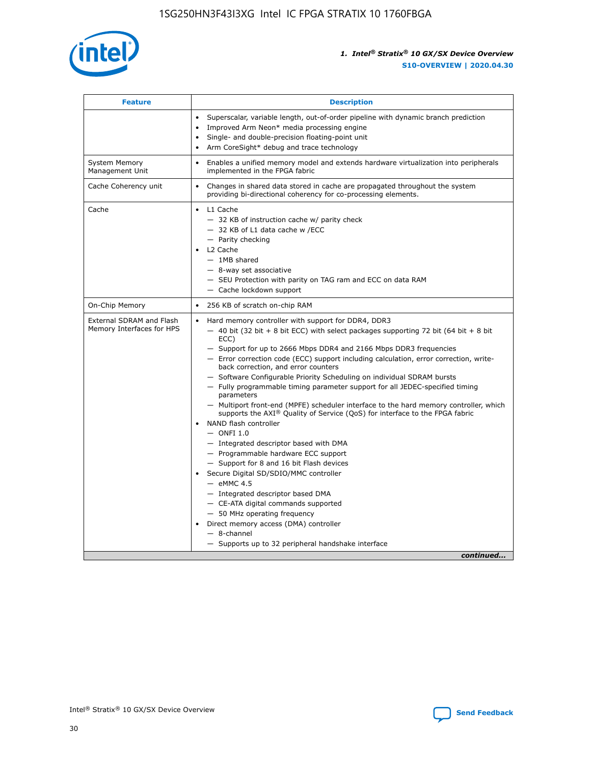

| <b>Feature</b>                                        | <b>Description</b>                                                                                                                                                                                                                                                                                                                                                                                                                                                                                                                                                                                                                                                                                                                                                                                                                                                                                                                                                                                                                                                                                                                                                                                                     |
|-------------------------------------------------------|------------------------------------------------------------------------------------------------------------------------------------------------------------------------------------------------------------------------------------------------------------------------------------------------------------------------------------------------------------------------------------------------------------------------------------------------------------------------------------------------------------------------------------------------------------------------------------------------------------------------------------------------------------------------------------------------------------------------------------------------------------------------------------------------------------------------------------------------------------------------------------------------------------------------------------------------------------------------------------------------------------------------------------------------------------------------------------------------------------------------------------------------------------------------------------------------------------------------|
|                                                       | Superscalar, variable length, out-of-order pipeline with dynamic branch prediction<br>Improved Arm Neon* media processing engine<br>$\bullet$<br>Single- and double-precision floating-point unit<br>Arm CoreSight* debug and trace technology<br>$\bullet$                                                                                                                                                                                                                                                                                                                                                                                                                                                                                                                                                                                                                                                                                                                                                                                                                                                                                                                                                            |
| <b>System Memory</b><br>Management Unit               | Enables a unified memory model and extends hardware virtualization into peripherals<br>$\bullet$<br>implemented in the FPGA fabric                                                                                                                                                                                                                                                                                                                                                                                                                                                                                                                                                                                                                                                                                                                                                                                                                                                                                                                                                                                                                                                                                     |
| Cache Coherency unit                                  | $\bullet$<br>Changes in shared data stored in cache are propagated throughout the system<br>providing bi-directional coherency for co-processing elements.                                                                                                                                                                                                                                                                                                                                                                                                                                                                                                                                                                                                                                                                                                                                                                                                                                                                                                                                                                                                                                                             |
| Cache                                                 | L1 Cache<br>$\bullet$<br>- 32 KB of instruction cache w/ parity check<br>- 32 KB of L1 data cache w /ECC<br>- Parity checking<br>L2 Cache<br>$-$ 1MB shared<br>- 8-way set associative<br>- SEU Protection with parity on TAG ram and ECC on data RAM<br>- Cache lockdown support                                                                                                                                                                                                                                                                                                                                                                                                                                                                                                                                                                                                                                                                                                                                                                                                                                                                                                                                      |
| On-Chip Memory                                        | 256 KB of scratch on-chip RAM<br>$\bullet$                                                                                                                                                                                                                                                                                                                                                                                                                                                                                                                                                                                                                                                                                                                                                                                                                                                                                                                                                                                                                                                                                                                                                                             |
| External SDRAM and Flash<br>Memory Interfaces for HPS | Hard memory controller with support for DDR4, DDR3<br>$\bullet$<br>$-$ 40 bit (32 bit + 8 bit ECC) with select packages supporting 72 bit (64 bit + 8 bit<br>ECC)<br>- Support for up to 2666 Mbps DDR4 and 2166 Mbps DDR3 frequencies<br>- Error correction code (ECC) support including calculation, error correction, write-<br>back correction, and error counters<br>- Software Configurable Priority Scheduling on individual SDRAM bursts<br>- Fully programmable timing parameter support for all JEDEC-specified timing<br>parameters<br>- Multiport front-end (MPFE) scheduler interface to the hard memory controller, which<br>supports the $AXI^{\circledR}$ Quality of Service (QoS) for interface to the FPGA fabric<br>NAND flash controller<br>$-$ ONFI 1.0<br>- Integrated descriptor based with DMA<br>- Programmable hardware ECC support<br>- Support for 8 and 16 bit Flash devices<br>Secure Digital SD/SDIO/MMC controller<br>$-$ eMMC 4.5<br>- Integrated descriptor based DMA<br>- CE-ATA digital commands supported<br>- 50 MHz operating frequency<br>Direct memory access (DMA) controller<br>$\bullet$<br>- 8-channel<br>- Supports up to 32 peripheral handshake interface<br>continued |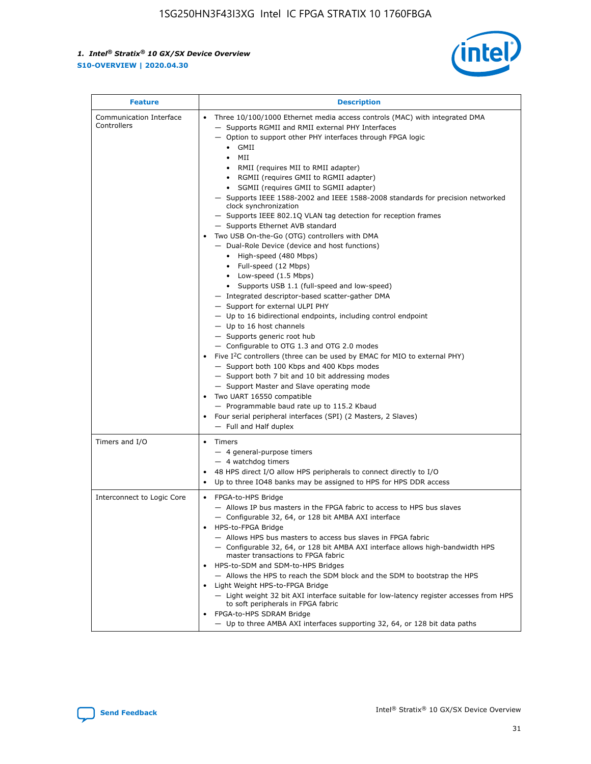

| <b>Feature</b>                         | <b>Description</b>                                                                                                                                                                                                                                                                                                                                                                                                                                                                                                                                                                                                                                                                                                                                                                                                                                                                                                                                                                                                                                                                                                                                                                                                                                                                                                                                                                                                                                                                                                     |
|----------------------------------------|------------------------------------------------------------------------------------------------------------------------------------------------------------------------------------------------------------------------------------------------------------------------------------------------------------------------------------------------------------------------------------------------------------------------------------------------------------------------------------------------------------------------------------------------------------------------------------------------------------------------------------------------------------------------------------------------------------------------------------------------------------------------------------------------------------------------------------------------------------------------------------------------------------------------------------------------------------------------------------------------------------------------------------------------------------------------------------------------------------------------------------------------------------------------------------------------------------------------------------------------------------------------------------------------------------------------------------------------------------------------------------------------------------------------------------------------------------------------------------------------------------------------|
| Communication Interface<br>Controllers | Three 10/100/1000 Ethernet media access controls (MAC) with integrated DMA<br>$\bullet$<br>- Supports RGMII and RMII external PHY Interfaces<br>- Option to support other PHY interfaces through FPGA logic<br>$\bullet$ GMII<br>MII<br>$\bullet$<br>RMII (requires MII to RMII adapter)<br>$\bullet$<br>• RGMII (requires GMII to RGMII adapter)<br>SGMII (requires GMII to SGMII adapter)<br>- Supports IEEE 1588-2002 and IEEE 1588-2008 standards for precision networked<br>clock synchronization<br>- Supports IEEE 802.1Q VLAN tag detection for reception frames<br>- Supports Ethernet AVB standard<br>Two USB On-the-Go (OTG) controllers with DMA<br>- Dual-Role Device (device and host functions)<br>• High-speed (480 Mbps)<br>• Full-speed (12 Mbps)<br>• Low-speed (1.5 Mbps)<br>• Supports USB 1.1 (full-speed and low-speed)<br>- Integrated descriptor-based scatter-gather DMA<br>- Support for external ULPI PHY<br>- Up to 16 bidirectional endpoints, including control endpoint<br>$-$ Up to 16 host channels<br>- Supports generic root hub<br>- Configurable to OTG 1.3 and OTG 2.0 modes<br>Five $I2C$ controllers (three can be used by EMAC for MIO to external PHY)<br>- Support both 100 Kbps and 400 Kbps modes<br>- Support both 7 bit and 10 bit addressing modes<br>- Support Master and Slave operating mode<br>Two UART 16550 compatible<br>- Programmable baud rate up to 115.2 Kbaud<br>Four serial peripheral interfaces (SPI) (2 Masters, 2 Slaves)<br>- Full and Half duplex |
| Timers and I/O                         | Timers<br>$\bullet$<br>- 4 general-purpose timers<br>$-4$ watchdog timers<br>48 HPS direct I/O allow HPS peripherals to connect directly to I/O<br>Up to three IO48 banks may be assigned to HPS for HPS DDR access                                                                                                                                                                                                                                                                                                                                                                                                                                                                                                                                                                                                                                                                                                                                                                                                                                                                                                                                                                                                                                                                                                                                                                                                                                                                                                    |
| Interconnect to Logic Core             | • FPGA-to-HPS Bridge<br>- Allows IP bus masters in the FPGA fabric to access to HPS bus slaves<br>- Configurable 32, 64, or 128 bit AMBA AXI interface<br>HPS-to-FPGA Bridge<br>- Allows HPS bus masters to access bus slaves in FPGA fabric<br>- Configurable 32, 64, or 128 bit AMBA AXI interface allows high-bandwidth HPS<br>master transactions to FPGA fabric<br>HPS-to-SDM and SDM-to-HPS Bridges<br>- Allows the HPS to reach the SDM block and the SDM to bootstrap the HPS<br>Light Weight HPS-to-FPGA Bridge<br>- Light weight 32 bit AXI interface suitable for low-latency register accesses from HPS<br>to soft peripherals in FPGA fabric<br>FPGA-to-HPS SDRAM Bridge<br>- Up to three AMBA AXI interfaces supporting 32, 64, or 128 bit data paths                                                                                                                                                                                                                                                                                                                                                                                                                                                                                                                                                                                                                                                                                                                                                    |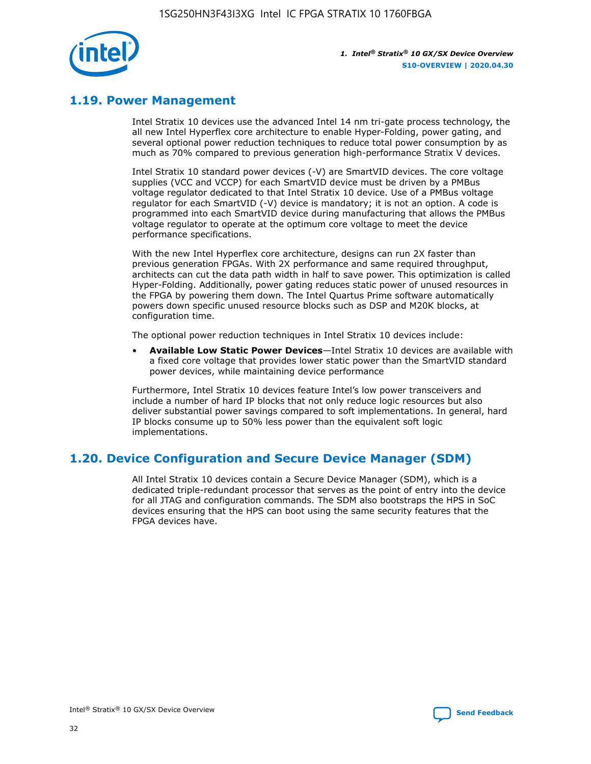

## **1.19. Power Management**

Intel Stratix 10 devices use the advanced Intel 14 nm tri-gate process technology, the all new Intel Hyperflex core architecture to enable Hyper-Folding, power gating, and several optional power reduction techniques to reduce total power consumption by as much as 70% compared to previous generation high-performance Stratix V devices.

Intel Stratix 10 standard power devices (-V) are SmartVID devices. The core voltage supplies (VCC and VCCP) for each SmartVID device must be driven by a PMBus voltage regulator dedicated to that Intel Stratix 10 device. Use of a PMBus voltage regulator for each SmartVID (-V) device is mandatory; it is not an option. A code is programmed into each SmartVID device during manufacturing that allows the PMBus voltage regulator to operate at the optimum core voltage to meet the device performance specifications.

With the new Intel Hyperflex core architecture, designs can run 2X faster than previous generation FPGAs. With 2X performance and same required throughput, architects can cut the data path width in half to save power. This optimization is called Hyper-Folding. Additionally, power gating reduces static power of unused resources in the FPGA by powering them down. The Intel Quartus Prime software automatically powers down specific unused resource blocks such as DSP and M20K blocks, at configuration time.

The optional power reduction techniques in Intel Stratix 10 devices include:

• **Available Low Static Power Devices**—Intel Stratix 10 devices are available with a fixed core voltage that provides lower static power than the SmartVID standard power devices, while maintaining device performance

Furthermore, Intel Stratix 10 devices feature Intel's low power transceivers and include a number of hard IP blocks that not only reduce logic resources but also deliver substantial power savings compared to soft implementations. In general, hard IP blocks consume up to 50% less power than the equivalent soft logic implementations.

## **1.20. Device Configuration and Secure Device Manager (SDM)**

All Intel Stratix 10 devices contain a Secure Device Manager (SDM), which is a dedicated triple-redundant processor that serves as the point of entry into the device for all JTAG and configuration commands. The SDM also bootstraps the HPS in SoC devices ensuring that the HPS can boot using the same security features that the FPGA devices have.

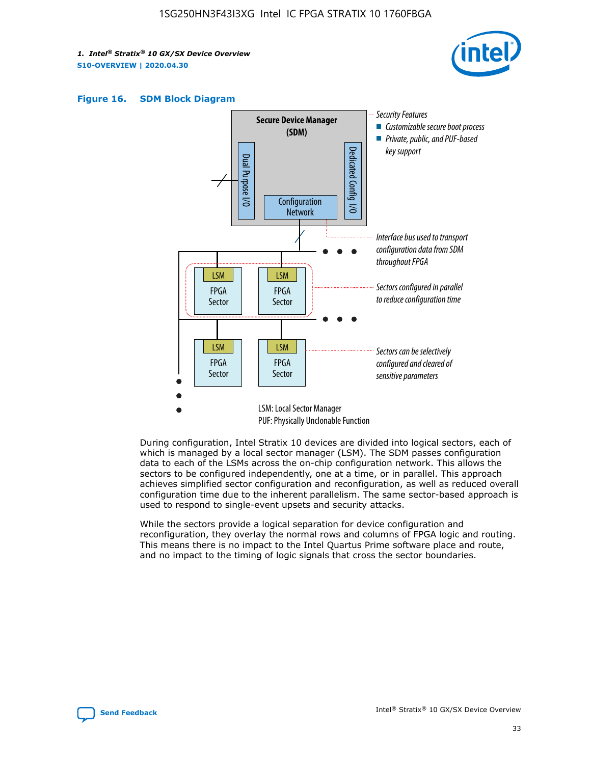





During configuration, Intel Stratix 10 devices are divided into logical sectors, each of which is managed by a local sector manager (LSM). The SDM passes configuration data to each of the LSMs across the on-chip configuration network. This allows the sectors to be configured independently, one at a time, or in parallel. This approach achieves simplified sector configuration and reconfiguration, as well as reduced overall configuration time due to the inherent parallelism. The same sector-based approach is used to respond to single-event upsets and security attacks.

While the sectors provide a logical separation for device configuration and reconfiguration, they overlay the normal rows and columns of FPGA logic and routing. This means there is no impact to the Intel Quartus Prime software place and route, and no impact to the timing of logic signals that cross the sector boundaries.

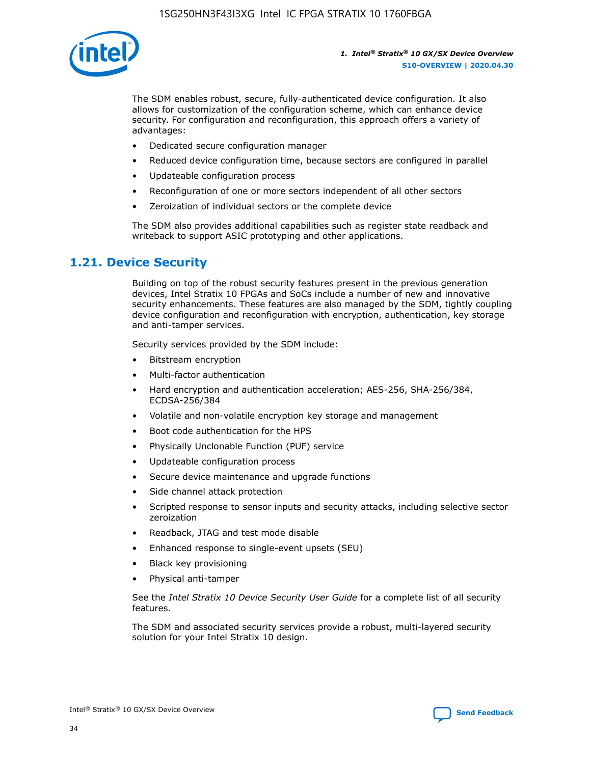

The SDM enables robust, secure, fully-authenticated device configuration. It also allows for customization of the configuration scheme, which can enhance device security. For configuration and reconfiguration, this approach offers a variety of advantages:

- Dedicated secure configuration manager
- Reduced device configuration time, because sectors are configured in parallel
- Updateable configuration process
- Reconfiguration of one or more sectors independent of all other sectors
- Zeroization of individual sectors or the complete device

The SDM also provides additional capabilities such as register state readback and writeback to support ASIC prototyping and other applications.

## **1.21. Device Security**

Building on top of the robust security features present in the previous generation devices, Intel Stratix 10 FPGAs and SoCs include a number of new and innovative security enhancements. These features are also managed by the SDM, tightly coupling device configuration and reconfiguration with encryption, authentication, key storage and anti-tamper services.

Security services provided by the SDM include:

- Bitstream encryption
- Multi-factor authentication
- Hard encryption and authentication acceleration; AES-256, SHA-256/384, ECDSA-256/384
- Volatile and non-volatile encryption key storage and management
- Boot code authentication for the HPS
- Physically Unclonable Function (PUF) service
- Updateable configuration process
- Secure device maintenance and upgrade functions
- Side channel attack protection
- Scripted response to sensor inputs and security attacks, including selective sector zeroization
- Readback, JTAG and test mode disable
- Enhanced response to single-event upsets (SEU)
- Black key provisioning
- Physical anti-tamper

See the *Intel Stratix 10 Device Security User Guide* for a complete list of all security features.

The SDM and associated security services provide a robust, multi-layered security solution for your Intel Stratix 10 design.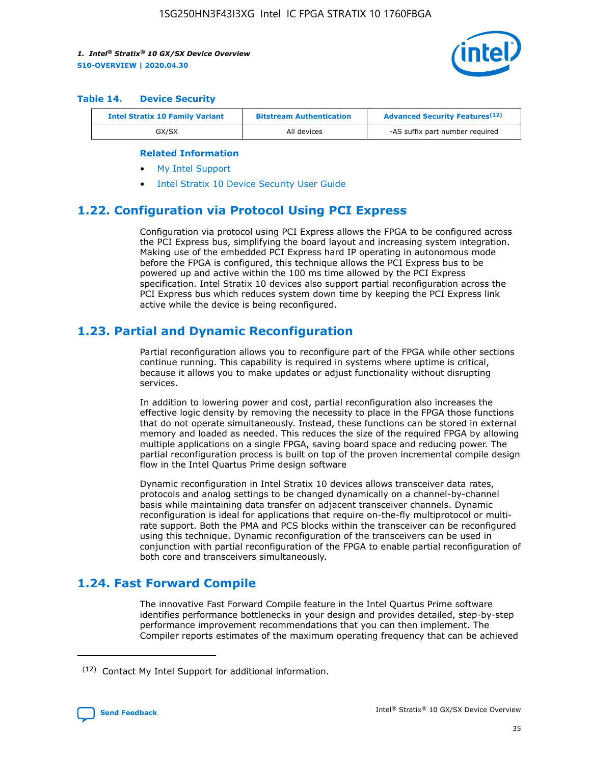

#### **Table 14. Device Security**

| <b>Intel Stratix 10 Family Variant</b> | <b>Bitstream Authentication</b> | <b>Advanced Security Features</b> <sup>(12)</sup> |
|----------------------------------------|---------------------------------|---------------------------------------------------|
| GX/SX                                  | All devices                     | -AS suffix part number required                   |

#### **Related Information**

- [My Intel Support](https://www.intel.com/content/www/us/en/programmable/my-intel/mal-home.html)
- [Intel Stratix 10 Device Security User Guide](https://www.intel.com/content/www/us/en/programmable/documentation/ndq1483601370898.html#wcd1483611014402)

## **1.22. Configuration via Protocol Using PCI Express**

Configuration via protocol using PCI Express allows the FPGA to be configured across the PCI Express bus, simplifying the board layout and increasing system integration. Making use of the embedded PCI Express hard IP operating in autonomous mode before the FPGA is configured, this technique allows the PCI Express bus to be powered up and active within the 100 ms time allowed by the PCI Express specification. Intel Stratix 10 devices also support partial reconfiguration across the PCI Express bus which reduces system down time by keeping the PCI Express link active while the device is being reconfigured.

## **1.23. Partial and Dynamic Reconfiguration**

Partial reconfiguration allows you to reconfigure part of the FPGA while other sections continue running. This capability is required in systems where uptime is critical, because it allows you to make updates or adjust functionality without disrupting services.

In addition to lowering power and cost, partial reconfiguration also increases the effective logic density by removing the necessity to place in the FPGA those functions that do not operate simultaneously. Instead, these functions can be stored in external memory and loaded as needed. This reduces the size of the required FPGA by allowing multiple applications on a single FPGA, saving board space and reducing power. The partial reconfiguration process is built on top of the proven incremental compile design flow in the Intel Quartus Prime design software

Dynamic reconfiguration in Intel Stratix 10 devices allows transceiver data rates, protocols and analog settings to be changed dynamically on a channel-by-channel basis while maintaining data transfer on adjacent transceiver channels. Dynamic reconfiguration is ideal for applications that require on-the-fly multiprotocol or multirate support. Both the PMA and PCS blocks within the transceiver can be reconfigured using this technique. Dynamic reconfiguration of the transceivers can be used in conjunction with partial reconfiguration of the FPGA to enable partial reconfiguration of both core and transceivers simultaneously.

## **1.24. Fast Forward Compile**

The innovative Fast Forward Compile feature in the Intel Quartus Prime software identifies performance bottlenecks in your design and provides detailed, step-by-step performance improvement recommendations that you can then implement. The Compiler reports estimates of the maximum operating frequency that can be achieved

<sup>(12)</sup> Contact My Intel Support for additional information.

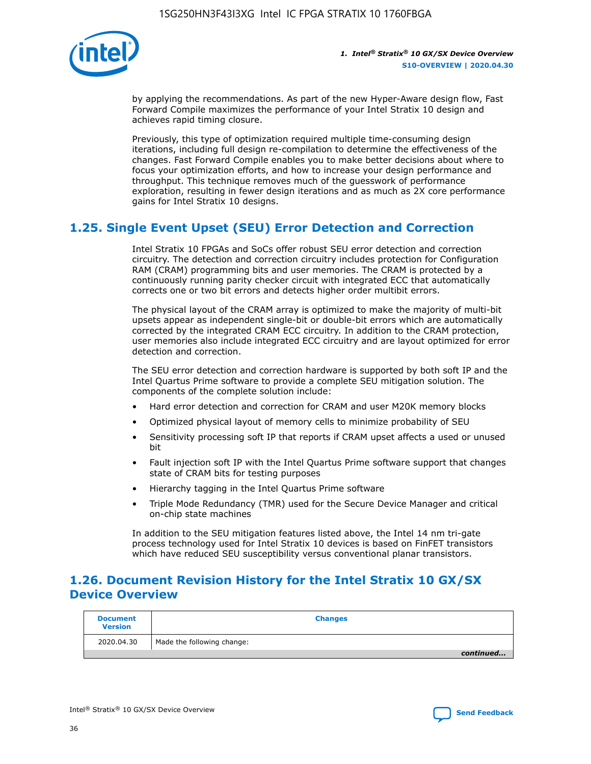

by applying the recommendations. As part of the new Hyper-Aware design flow, Fast Forward Compile maximizes the performance of your Intel Stratix 10 design and achieves rapid timing closure.

Previously, this type of optimization required multiple time-consuming design iterations, including full design re-compilation to determine the effectiveness of the changes. Fast Forward Compile enables you to make better decisions about where to focus your optimization efforts, and how to increase your design performance and throughput. This technique removes much of the guesswork of performance exploration, resulting in fewer design iterations and as much as 2X core performance gains for Intel Stratix 10 designs.

## **1.25. Single Event Upset (SEU) Error Detection and Correction**

Intel Stratix 10 FPGAs and SoCs offer robust SEU error detection and correction circuitry. The detection and correction circuitry includes protection for Configuration RAM (CRAM) programming bits and user memories. The CRAM is protected by a continuously running parity checker circuit with integrated ECC that automatically corrects one or two bit errors and detects higher order multibit errors.

The physical layout of the CRAM array is optimized to make the majority of multi-bit upsets appear as independent single-bit or double-bit errors which are automatically corrected by the integrated CRAM ECC circuitry. In addition to the CRAM protection, user memories also include integrated ECC circuitry and are layout optimized for error detection and correction.

The SEU error detection and correction hardware is supported by both soft IP and the Intel Quartus Prime software to provide a complete SEU mitigation solution. The components of the complete solution include:

- Hard error detection and correction for CRAM and user M20K memory blocks
- Optimized physical layout of memory cells to minimize probability of SEU
- Sensitivity processing soft IP that reports if CRAM upset affects a used or unused bit
- Fault injection soft IP with the Intel Quartus Prime software support that changes state of CRAM bits for testing purposes
- Hierarchy tagging in the Intel Quartus Prime software
- Triple Mode Redundancy (TMR) used for the Secure Device Manager and critical on-chip state machines

In addition to the SEU mitigation features listed above, the Intel 14 nm tri-gate process technology used for Intel Stratix 10 devices is based on FinFET transistors which have reduced SEU susceptibility versus conventional planar transistors.

## **1.26. Document Revision History for the Intel Stratix 10 GX/SX Device Overview**

| <b>Document</b><br><b>Version</b> | <b>Changes</b>             |
|-----------------------------------|----------------------------|
| 2020.04.30                        | Made the following change: |
|                                   | continued                  |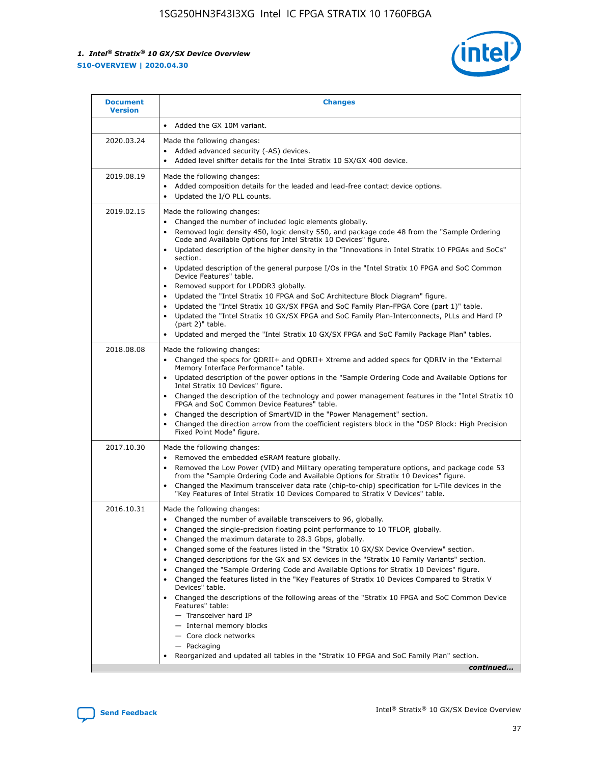

| <b>Document</b><br><b>Version</b> | <b>Changes</b>                                                                                                                                                                                                                                                                                                                                                                                                                                                                                                                                                                                                                                                                                                                                                                                                                                                                                                                                                                                      |
|-----------------------------------|-----------------------------------------------------------------------------------------------------------------------------------------------------------------------------------------------------------------------------------------------------------------------------------------------------------------------------------------------------------------------------------------------------------------------------------------------------------------------------------------------------------------------------------------------------------------------------------------------------------------------------------------------------------------------------------------------------------------------------------------------------------------------------------------------------------------------------------------------------------------------------------------------------------------------------------------------------------------------------------------------------|
|                                   | Added the GX 10M variant.                                                                                                                                                                                                                                                                                                                                                                                                                                                                                                                                                                                                                                                                                                                                                                                                                                                                                                                                                                           |
| 2020.03.24                        | Made the following changes:<br>Added advanced security (-AS) devices.<br>Added level shifter details for the Intel Stratix 10 SX/GX 400 device.                                                                                                                                                                                                                                                                                                                                                                                                                                                                                                                                                                                                                                                                                                                                                                                                                                                     |
| 2019.08.19                        | Made the following changes:<br>Added composition details for the leaded and lead-free contact device options.<br>$\bullet$<br>Updated the I/O PLL counts.                                                                                                                                                                                                                                                                                                                                                                                                                                                                                                                                                                                                                                                                                                                                                                                                                                           |
| 2019.02.15                        | Made the following changes:<br>Changed the number of included logic elements globally.<br>$\bullet$<br>Removed logic density 450, logic density 550, and package code 48 from the "Sample Ordering<br>$\bullet$<br>Code and Available Options for Intel Stratix 10 Devices" figure.<br>Updated description of the higher density in the "Innovations in Intel Stratix 10 FPGAs and SoCs"<br>section.<br>Updated description of the general purpose I/Os in the "Intel Stratix 10 FPGA and SoC Common<br>$\bullet$<br>Device Features" table.<br>Removed support for LPDDR3 globally.<br>Updated the "Intel Stratix 10 FPGA and SoC Architecture Block Diagram" figure.<br>$\bullet$<br>Updated the "Intel Stratix 10 GX/SX FPGA and SoC Family Plan-FPGA Core (part 1)" table.<br>٠<br>Updated the "Intel Stratix 10 GX/SX FPGA and SoC Family Plan-Interconnects, PLLs and Hard IP<br>(part 2)" table.<br>Updated and merged the "Intel Stratix 10 GX/SX FPGA and SoC Family Package Plan" tables. |
| 2018.08.08                        | Made the following changes:<br>Changed the specs for QDRII+ and QDRII+ Xtreme and added specs for QDRIV in the "External<br>$\bullet$<br>Memory Interface Performance" table.<br>Updated description of the power options in the "Sample Ordering Code and Available Options for<br>Intel Stratix 10 Devices" figure.<br>Changed the description of the technology and power management features in the "Intel Stratix 10<br>FPGA and SoC Common Device Features" table.<br>Changed the description of SmartVID in the "Power Management" section.<br>Changed the direction arrow from the coefficient registers block in the "DSP Block: High Precision<br>٠<br>Fixed Point Mode" figure.                                                                                                                                                                                                                                                                                                          |
| 2017.10.30                        | Made the following changes:<br>Removed the embedded eSRAM feature globally.<br>$\bullet$<br>Removed the Low Power (VID) and Military operating temperature options, and package code 53<br>٠<br>from the "Sample Ordering Code and Available Options for Stratix 10 Devices" figure.<br>Changed the Maximum transceiver data rate (chip-to-chip) specification for L-Tile devices in the<br>"Key Features of Intel Stratix 10 Devices Compared to Stratix V Devices" table.                                                                                                                                                                                                                                                                                                                                                                                                                                                                                                                         |
| 2016.10.31                        | Made the following changes:<br>• Changed the number of available transceivers to 96, globally.<br>Changed the single-precision floating point performance to 10 TFLOP, globally.<br>Changed the maximum datarate to 28.3 Gbps, globally.<br>٠<br>Changed some of the features listed in the "Stratix 10 GX/SX Device Overview" section.<br>٠<br>Changed descriptions for the GX and SX devices in the "Stratix 10 Family Variants" section.<br>٠<br>Changed the "Sample Ordering Code and Available Options for Stratix 10 Devices" figure.<br>Changed the features listed in the "Key Features of Stratix 10 Devices Compared to Stratix V<br>Devices" table.<br>Changed the descriptions of the following areas of the "Stratix 10 FPGA and SoC Common Device<br>Features" table:<br>- Transceiver hard IP<br>- Internal memory blocks<br>- Core clock networks<br>- Packaging<br>Reorganized and updated all tables in the "Stratix 10 FPGA and SoC Family Plan" section.                        |
|                                   | continued                                                                                                                                                                                                                                                                                                                                                                                                                                                                                                                                                                                                                                                                                                                                                                                                                                                                                                                                                                                           |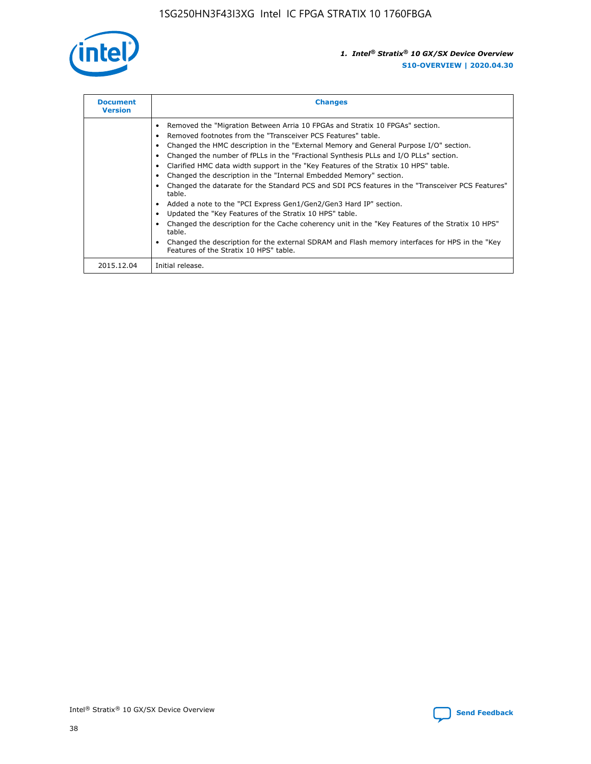

| <b>Document</b><br><b>Version</b> | <b>Changes</b>                                                                                                                                                                                                                                                                                                                                                                                                                                                                                                                                                                                                                                                                                                                                                                                                                                                                                                                                                                                     |
|-----------------------------------|----------------------------------------------------------------------------------------------------------------------------------------------------------------------------------------------------------------------------------------------------------------------------------------------------------------------------------------------------------------------------------------------------------------------------------------------------------------------------------------------------------------------------------------------------------------------------------------------------------------------------------------------------------------------------------------------------------------------------------------------------------------------------------------------------------------------------------------------------------------------------------------------------------------------------------------------------------------------------------------------------|
|                                   | Removed the "Migration Between Arria 10 FPGAs and Stratix 10 FPGAs" section.<br>Removed footnotes from the "Transceiver PCS Features" table.<br>Changed the HMC description in the "External Memory and General Purpose I/O" section.<br>Changed the number of fPLLs in the "Fractional Synthesis PLLs and I/O PLLs" section.<br>Clarified HMC data width support in the "Key Features of the Stratix 10 HPS" table.<br>Changed the description in the "Internal Embedded Memory" section.<br>Changed the datarate for the Standard PCS and SDI PCS features in the "Transceiver PCS Features"<br>table.<br>Added a note to the "PCI Express Gen1/Gen2/Gen3 Hard IP" section.<br>Updated the "Key Features of the Stratix 10 HPS" table.<br>Changed the description for the Cache coherency unit in the "Key Features of the Stratix 10 HPS"<br>table.<br>Changed the description for the external SDRAM and Flash memory interfaces for HPS in the "Key<br>Features of the Stratix 10 HPS" table. |
| 2015.12.04                        | Initial release.                                                                                                                                                                                                                                                                                                                                                                                                                                                                                                                                                                                                                                                                                                                                                                                                                                                                                                                                                                                   |